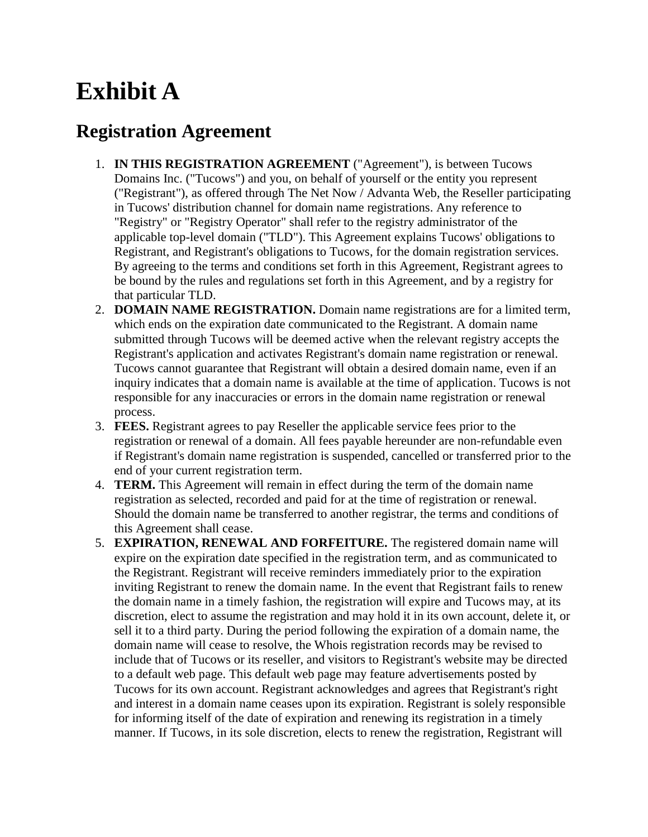# **Exhibit A**

## **Registration Agreement**

- 1. **IN THIS REGISTRATION AGREEMENT** ("Agreement"), is between Tucows Domains Inc. ("Tucows") and you, on behalf of yourself or the entity you represent ("Registrant"), as offered through The Net Now / Advanta Web, the Reseller participating in Tucows' distribution channel for domain name registrations. Any reference to "Registry" or "Registry Operator" shall refer to the registry administrator of the applicable top-level domain ("TLD"). This Agreement explains Tucows' obligations to Registrant, and Registrant's obligations to Tucows, for the domain registration services. By agreeing to the terms and conditions set forth in this Agreement, Registrant agrees to be bound by the rules and regulations set forth in this Agreement, and by a registry for that particular TLD.
- 2. **DOMAIN NAME REGISTRATION.** Domain name registrations are for a limited term, which ends on the expiration date communicated to the Registrant. A domain name submitted through Tucows will be deemed active when the relevant registry accepts the Registrant's application and activates Registrant's domain name registration or renewal. Tucows cannot guarantee that Registrant will obtain a desired domain name, even if an inquiry indicates that a domain name is available at the time of application. Tucows is not responsible for any inaccuracies or errors in the domain name registration or renewal process.
- 3. **FEES.** Registrant agrees to pay Reseller the applicable service fees prior to the registration or renewal of a domain. All fees payable hereunder are non-refundable even if Registrant's domain name registration is suspended, cancelled or transferred prior to the end of your current registration term.
- 4. **TERM.** This Agreement will remain in effect during the term of the domain name registration as selected, recorded and paid for at the time of registration or renewal. Should the domain name be transferred to another registrar, the terms and conditions of this Agreement shall cease.
- 5. **EXPIRATION, RENEWAL AND FORFEITURE.** The registered domain name will expire on the expiration date specified in the registration term, and as communicated to the Registrant. Registrant will receive reminders immediately prior to the expiration inviting Registrant to renew the domain name. In the event that Registrant fails to renew the domain name in a timely fashion, the registration will expire and Tucows may, at its discretion, elect to assume the registration and may hold it in its own account, delete it, or sell it to a third party. During the period following the expiration of a domain name, the domain name will cease to resolve, the Whois registration records may be revised to include that of Tucows or its reseller, and visitors to Registrant's website may be directed to a default web page. This default web page may feature advertisements posted by Tucows for its own account. Registrant acknowledges and agrees that Registrant's right and interest in a domain name ceases upon its expiration. Registrant is solely responsible for informing itself of the date of expiration and renewing its registration in a timely manner. If Tucows, in its sole discretion, elects to renew the registration, Registrant will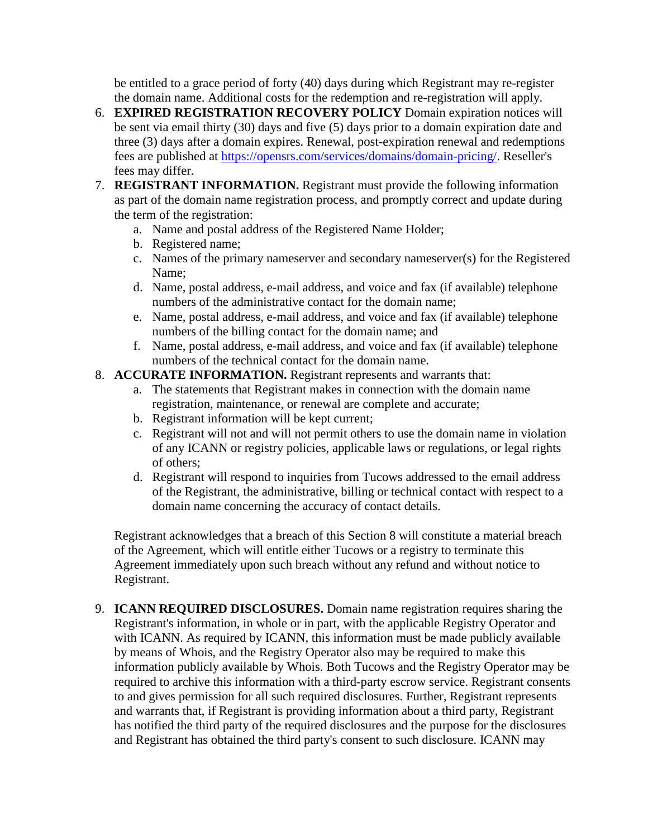be entitled to a grace period of forty (40) days during which Registrant may re-register the domain name. Additional costs for the redemption and re-registration will apply.

- 6. **EXPIRED REGISTRATION RECOVERY POLICY** Domain expiration notices will be sent via email thirty (30) days and five (5) days prior to a domain expiration date and three (3) days after a domain expires. Renewal, post-expiration renewal and redemptions fees are published at [https://opensrs.com/services/domains/domain-pricing/.](https://opensrs.com/services/domains/domain-pricing/) Reseller's fees may differ.
- 7. **REGISTRANT INFORMATION.** Registrant must provide the following information as part of the domain name registration process, and promptly correct and update during the term of the registration:
	- a. Name and postal address of the Registered Name Holder;
	- b. Registered name;
	- c. Names of the primary nameserver and secondary nameserver(s) for the Registered Name;
	- d. Name, postal address, e-mail address, and voice and fax (if available) telephone numbers of the administrative contact for the domain name;
	- e. Name, postal address, e-mail address, and voice and fax (if available) telephone numbers of the billing contact for the domain name; and
	- f. Name, postal address, e-mail address, and voice and fax (if available) telephone numbers of the technical contact for the domain name.

#### 8. **ACCURATE INFORMATION.** Registrant represents and warrants that:

- a. The statements that Registrant makes in connection with the domain name registration, maintenance, or renewal are complete and accurate;
- b. Registrant information will be kept current;
- c. Registrant will not and will not permit others to use the domain name in violation of any ICANN or registry policies, applicable laws or regulations, or legal rights of others;
- d. Registrant will respond to inquiries from Tucows addressed to the email address of the Registrant, the administrative, billing or technical contact with respect to a domain name concerning the accuracy of contact details.

Registrant acknowledges that a breach of this Section 8 will constitute a material breach of the Agreement, which will entitle either Tucows or a registry to terminate this Agreement immediately upon such breach without any refund and without notice to Registrant.

9. **ICANN REQUIRED DISCLOSURES.** Domain name registration requires sharing the Registrant's information, in whole or in part, with the applicable Registry Operator and with ICANN. As required by ICANN, this information must be made publicly available by means of Whois, and the Registry Operator also may be required to make this information publicly available by Whois. Both Tucows and the Registry Operator may be required to archive this information with a third-party escrow service. Registrant consents to and gives permission for all such required disclosures. Further, Registrant represents and warrants that, if Registrant is providing information about a third party, Registrant has notified the third party of the required disclosures and the purpose for the disclosures and Registrant has obtained the third party's consent to such disclosure. ICANN may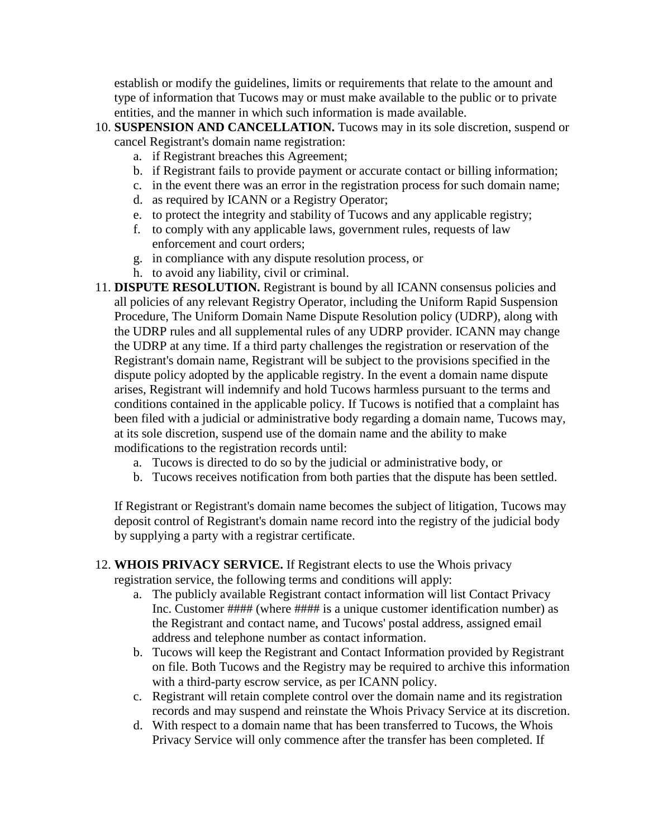establish or modify the guidelines, limits or requirements that relate to the amount and type of information that Tucows may or must make available to the public or to private entities, and the manner in which such information is made available.

- 10. **SUSPENSION AND CANCELLATION.** Tucows may in its sole discretion, suspend or cancel Registrant's domain name registration:
	- a. if Registrant breaches this Agreement;
	- b. if Registrant fails to provide payment or accurate contact or billing information;
	- c. in the event there was an error in the registration process for such domain name;
	- d. as required by ICANN or a Registry Operator;
	- e. to protect the integrity and stability of Tucows and any applicable registry;
	- f. to comply with any applicable laws, government rules, requests of law enforcement and court orders;
	- g. in compliance with any dispute resolution process, or
	- h. to avoid any liability, civil or criminal.
- 11. **DISPUTE RESOLUTION.** Registrant is bound by all ICANN consensus policies and all policies of any relevant Registry Operator, including the Uniform Rapid Suspension Procedure, The Uniform Domain Name Dispute Resolution policy (UDRP), along with the UDRP rules and all supplemental rules of any UDRP provider. ICANN may change the UDRP at any time. If a third party challenges the registration or reservation of the Registrant's domain name, Registrant will be subject to the provisions specified in the dispute policy adopted by the applicable registry. In the event a domain name dispute arises, Registrant will indemnify and hold Tucows harmless pursuant to the terms and conditions contained in the applicable policy. If Tucows is notified that a complaint has been filed with a judicial or administrative body regarding a domain name, Tucows may, at its sole discretion, suspend use of the domain name and the ability to make modifications to the registration records until:
	- a. Tucows is directed to do so by the judicial or administrative body, or
	- b. Tucows receives notification from both parties that the dispute has been settled.

If Registrant or Registrant's domain name becomes the subject of litigation, Tucows may deposit control of Registrant's domain name record into the registry of the judicial body by supplying a party with a registrar certificate.

#### 12. **WHOIS PRIVACY SERVICE.** If Registrant elects to use the Whois privacy registration service, the following terms and conditions will apply:

- a. The publicly available Registrant contact information will list Contact Privacy Inc. Customer #### (where #### is a unique customer identification number) as the Registrant and contact name, and Tucows' postal address, assigned email address and telephone number as contact information.
- b. Tucows will keep the Registrant and Contact Information provided by Registrant on file. Both Tucows and the Registry may be required to archive this information with a third-party escrow service, as per ICANN policy.
- c. Registrant will retain complete control over the domain name and its registration records and may suspend and reinstate the Whois Privacy Service at its discretion.
- d. With respect to a domain name that has been transferred to Tucows, the Whois Privacy Service will only commence after the transfer has been completed. If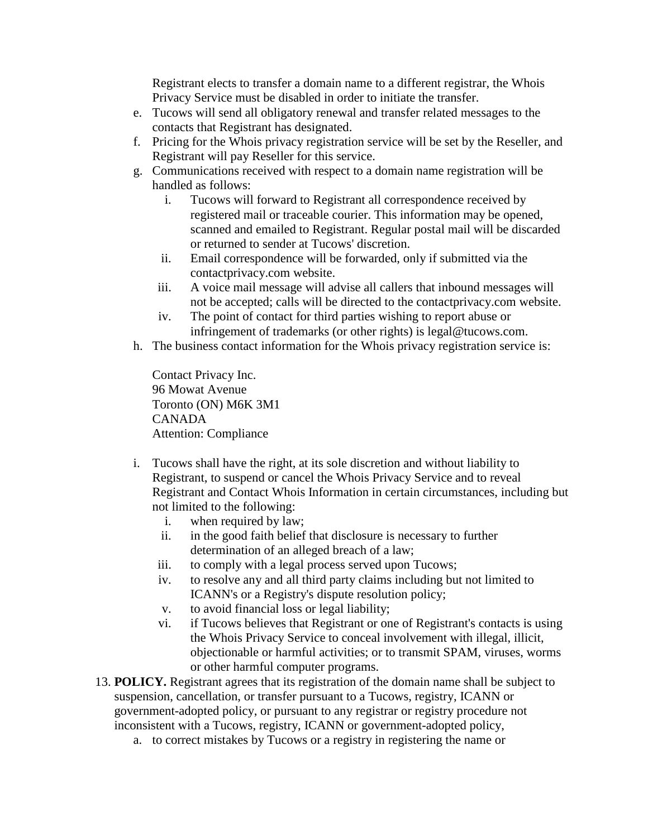Registrant elects to transfer a domain name to a different registrar, the Whois Privacy Service must be disabled in order to initiate the transfer.

- e. Tucows will send all obligatory renewal and transfer related messages to the contacts that Registrant has designated.
- f. Pricing for the Whois privacy registration service will be set by the Reseller, and Registrant will pay Reseller for this service.
- g. Communications received with respect to a domain name registration will be handled as follows:
	- i. Tucows will forward to Registrant all correspondence received by registered mail or traceable courier. This information may be opened, scanned and emailed to Registrant. Regular postal mail will be discarded or returned to sender at Tucows' discretion.
	- ii. Email correspondence will be forwarded, only if submitted via the contactprivacy.com website.
	- iii. A voice mail message will advise all callers that inbound messages will not be accepted; calls will be directed to the contactprivacy.com website.
	- iv. The point of contact for third parties wishing to report abuse or infringement of trademarks (or other rights) is legal@tucows.com.
- h. The business contact information for the Whois privacy registration service is:

Contact Privacy Inc. 96 Mowat Avenue Toronto (ON) M6K 3M1 CANADA Attention: Compliance

- i. Tucows shall have the right, at its sole discretion and without liability to Registrant, to suspend or cancel the Whois Privacy Service and to reveal Registrant and Contact Whois Information in certain circumstances, including but not limited to the following:
	- i. when required by law;
	- ii. in the good faith belief that disclosure is necessary to further determination of an alleged breach of a law;
	- iii. to comply with a legal process served upon Tucows;
	- iv. to resolve any and all third party claims including but not limited to ICANN's or a Registry's dispute resolution policy;
	- v. to avoid financial loss or legal liability;
	- vi. if Tucows believes that Registrant or one of Registrant's contacts is using the Whois Privacy Service to conceal involvement with illegal, illicit, objectionable or harmful activities; or to transmit SPAM, viruses, worms or other harmful computer programs.
- 13. **POLICY.** Registrant agrees that its registration of the domain name shall be subject to suspension, cancellation, or transfer pursuant to a Tucows, registry, ICANN or government-adopted policy, or pursuant to any registrar or registry procedure not inconsistent with a Tucows, registry, ICANN or government-adopted policy,
	- a. to correct mistakes by Tucows or a registry in registering the name or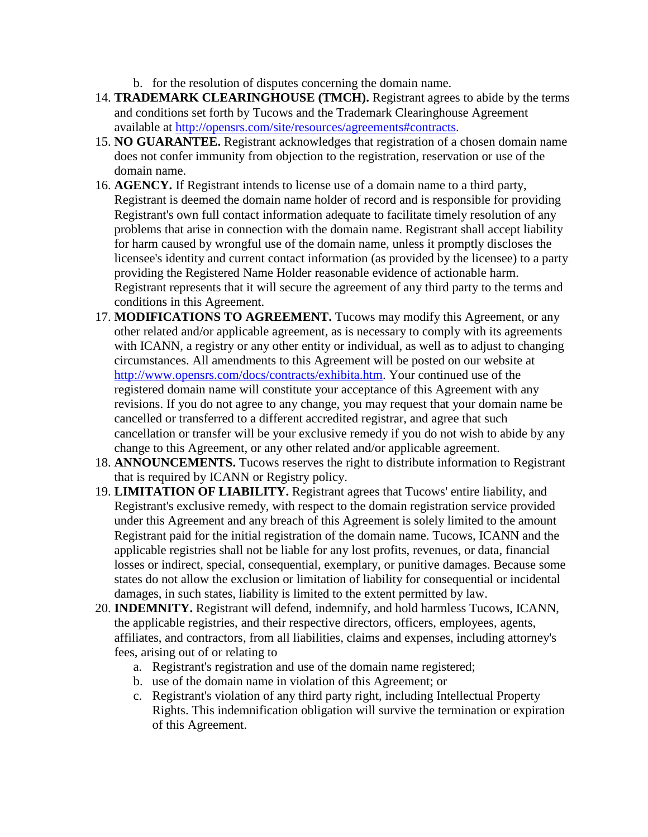- b. for the resolution of disputes concerning the domain name.
- 14. **TRADEMARK CLEARINGHOUSE (TMCH).** Registrant agrees to abide by the terms and conditions set forth by Tucows and the Trademark Clearinghouse Agreement available at [http://opensrs.com/site/resources/agreements#contracts.](http://opensrs.com/site/resources/agreements#contracts)
- 15. **NO GUARANTEE.** Registrant acknowledges that registration of a chosen domain name does not confer immunity from objection to the registration, reservation or use of the domain name.
- 16. **AGENCY.** If Registrant intends to license use of a domain name to a third party, Registrant is deemed the domain name holder of record and is responsible for providing Registrant's own full contact information adequate to facilitate timely resolution of any problems that arise in connection with the domain name. Registrant shall accept liability for harm caused by wrongful use of the domain name, unless it promptly discloses the licensee's identity and current contact information (as provided by the licensee) to a party providing the Registered Name Holder reasonable evidence of actionable harm. Registrant represents that it will secure the agreement of any third party to the terms and conditions in this Agreement.
- 17. **MODIFICATIONS TO AGREEMENT.** Tucows may modify this Agreement, or any other related and/or applicable agreement, as is necessary to comply with its agreements with ICANN, a registry or any other entity or individual, as well as to adjust to changing circumstances. All amendments to this Agreement will be posted on our website at [http://www.opensrs.com/docs/contracts/exhibita.htm.](http://www.opensrs.com/docs/contracts/exhibita.htm) Your continued use of the registered domain name will constitute your acceptance of this Agreement with any revisions. If you do not agree to any change, you may request that your domain name be cancelled or transferred to a different accredited registrar, and agree that such cancellation or transfer will be your exclusive remedy if you do not wish to abide by any change to this Agreement, or any other related and/or applicable agreement.
- 18. **ANNOUNCEMENTS.** Tucows reserves the right to distribute information to Registrant that is required by ICANN or Registry policy.
- 19. **LIMITATION OF LIABILITY.** Registrant agrees that Tucows' entire liability, and Registrant's exclusive remedy, with respect to the domain registration service provided under this Agreement and any breach of this Agreement is solely limited to the amount Registrant paid for the initial registration of the domain name. Tucows, ICANN and the applicable registries shall not be liable for any lost profits, revenues, or data, financial losses or indirect, special, consequential, exemplary, or punitive damages. Because some states do not allow the exclusion or limitation of liability for consequential or incidental damages, in such states, liability is limited to the extent permitted by law.
- 20. **INDEMNITY.** Registrant will defend, indemnify, and hold harmless Tucows, ICANN, the applicable registries, and their respective directors, officers, employees, agents, affiliates, and contractors, from all liabilities, claims and expenses, including attorney's fees, arising out of or relating to
	- a. Registrant's registration and use of the domain name registered;
	- b. use of the domain name in violation of this Agreement; or
	- c. Registrant's violation of any third party right, including Intellectual Property Rights. This indemnification obligation will survive the termination or expiration of this Agreement.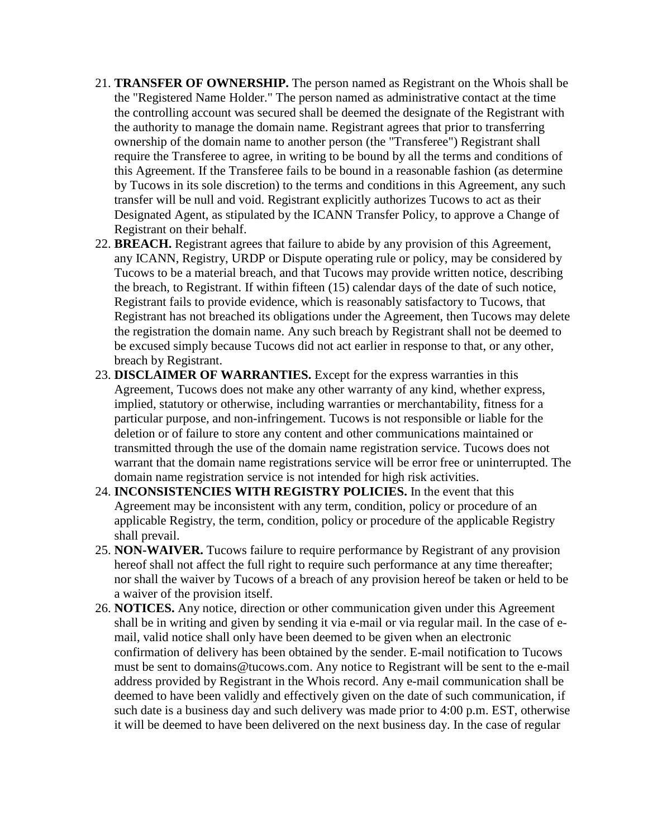- 21. **TRANSFER OF OWNERSHIP.** The person named as Registrant on the Whois shall be the "Registered Name Holder." The person named as administrative contact at the time the controlling account was secured shall be deemed the designate of the Registrant with the authority to manage the domain name. Registrant agrees that prior to transferring ownership of the domain name to another person (the "Transferee") Registrant shall require the Transferee to agree, in writing to be bound by all the terms and conditions of this Agreement. If the Transferee fails to be bound in a reasonable fashion (as determine by Tucows in its sole discretion) to the terms and conditions in this Agreement, any such transfer will be null and void. Registrant explicitly authorizes Tucows to act as their Designated Agent, as stipulated by the ICANN Transfer Policy, to approve a Change of Registrant on their behalf.
- 22. **BREACH.** Registrant agrees that failure to abide by any provision of this Agreement, any ICANN, Registry, URDP or Dispute operating rule or policy, may be considered by Tucows to be a material breach, and that Tucows may provide written notice, describing the breach, to Registrant. If within fifteen (15) calendar days of the date of such notice, Registrant fails to provide evidence, which is reasonably satisfactory to Tucows, that Registrant has not breached its obligations under the Agreement, then Tucows may delete the registration the domain name. Any such breach by Registrant shall not be deemed to be excused simply because Tucows did not act earlier in response to that, or any other, breach by Registrant.
- 23. **DISCLAIMER OF WARRANTIES.** Except for the express warranties in this Agreement, Tucows does not make any other warranty of any kind, whether express, implied, statutory or otherwise, including warranties or merchantability, fitness for a particular purpose, and non-infringement. Tucows is not responsible or liable for the deletion or of failure to store any content and other communications maintained or transmitted through the use of the domain name registration service. Tucows does not warrant that the domain name registrations service will be error free or uninterrupted. The domain name registration service is not intended for high risk activities.
- 24. **INCONSISTENCIES WITH REGISTRY POLICIES.** In the event that this Agreement may be inconsistent with any term, condition, policy or procedure of an applicable Registry, the term, condition, policy or procedure of the applicable Registry shall prevail.
- 25. **NON-WAIVER.** Tucows failure to require performance by Registrant of any provision hereof shall not affect the full right to require such performance at any time thereafter; nor shall the waiver by Tucows of a breach of any provision hereof be taken or held to be a waiver of the provision itself.
- 26. **NOTICES.** Any notice, direction or other communication given under this Agreement shall be in writing and given by sending it via e-mail or via regular mail. In the case of email, valid notice shall only have been deemed to be given when an electronic confirmation of delivery has been obtained by the sender. E-mail notification to Tucows must be sent to domains@tucows.com. Any notice to Registrant will be sent to the e-mail address provided by Registrant in the Whois record. Any e-mail communication shall be deemed to have been validly and effectively given on the date of such communication, if such date is a business day and such delivery was made prior to 4:00 p.m. EST, otherwise it will be deemed to have been delivered on the next business day. In the case of regular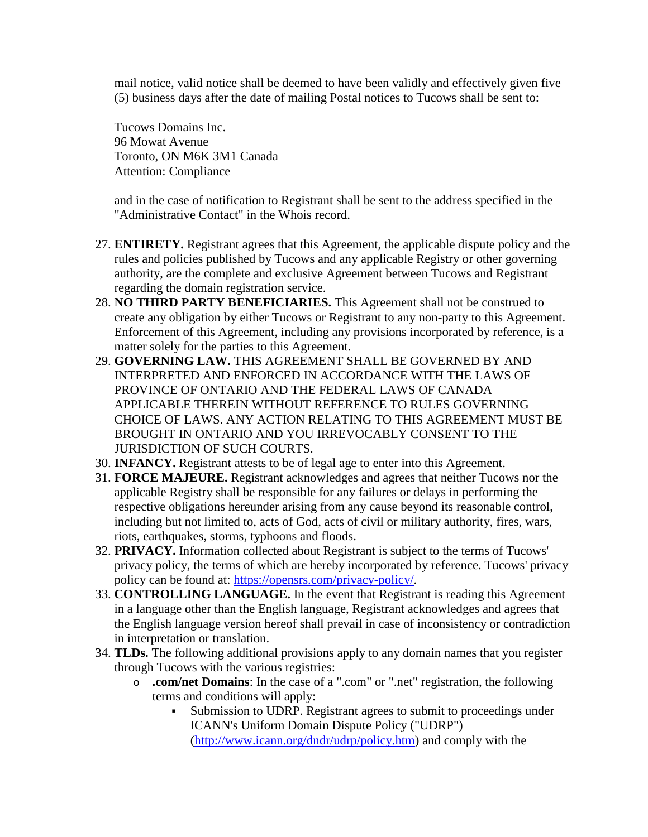mail notice, valid notice shall be deemed to have been validly and effectively given five (5) business days after the date of mailing Postal notices to Tucows shall be sent to:

Tucows Domains Inc. 96 Mowat Avenue Toronto, ON M6K 3M1 Canada Attention: Compliance

and in the case of notification to Registrant shall be sent to the address specified in the "Administrative Contact" in the Whois record.

- 27. **ENTIRETY.** Registrant agrees that this Agreement, the applicable dispute policy and the rules and policies published by Tucows and any applicable Registry or other governing authority, are the complete and exclusive Agreement between Tucows and Registrant regarding the domain registration service.
- 28. **NO THIRD PARTY BENEFICIARIES.** This Agreement shall not be construed to create any obligation by either Tucows or Registrant to any non-party to this Agreement. Enforcement of this Agreement, including any provisions incorporated by reference, is a matter solely for the parties to this Agreement.
- 29. **GOVERNING LAW.** THIS AGREEMENT SHALL BE GOVERNED BY AND INTERPRETED AND ENFORCED IN ACCORDANCE WITH THE LAWS OF PROVINCE OF ONTARIO AND THE FEDERAL LAWS OF CANADA APPLICABLE THEREIN WITHOUT REFERENCE TO RULES GOVERNING CHOICE OF LAWS. ANY ACTION RELATING TO THIS AGREEMENT MUST BE BROUGHT IN ONTARIO AND YOU IRREVOCABLY CONSENT TO THE JURISDICTION OF SUCH COURTS.
- 30. **INFANCY.** Registrant attests to be of legal age to enter into this Agreement.
- 31. **FORCE MAJEURE.** Registrant acknowledges and agrees that neither Tucows nor the applicable Registry shall be responsible for any failures or delays in performing the respective obligations hereunder arising from any cause beyond its reasonable control, including but not limited to, acts of God, acts of civil or military authority, fires, wars, riots, earthquakes, storms, typhoons and floods.
- 32. **PRIVACY.** Information collected about Registrant is subject to the terms of Tucows' privacy policy, the terms of which are hereby incorporated by reference. Tucows' privacy policy can be found at: [https://opensrs.com/privacy-policy/.](https://opensrs.com/privacy-policy/)
- 33. **CONTROLLING LANGUAGE.** In the event that Registrant is reading this Agreement in a language other than the English language, Registrant acknowledges and agrees that the English language version hereof shall prevail in case of inconsistency or contradiction in interpretation or translation.
- 34. **TLDs.** The following additional provisions apply to any domain names that you register through Tucows with the various registries:
	- o **.com/net Domains**: In the case of a ".com" or ".net" registration, the following terms and conditions will apply:
		- Submission to UDRP. Registrant agrees to submit to proceedings under ICANN's Uniform Domain Dispute Policy ("UDRP") [\(http://www.icann.org/dndr/udrp/policy.htm\)](http://www.icann.org/dndr/udrp/policy.htm) and comply with the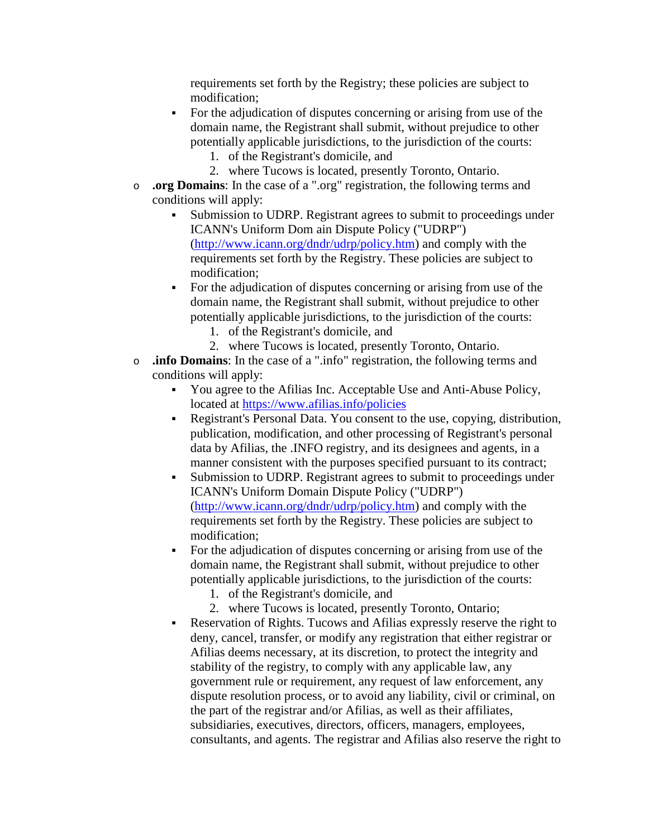requirements set forth by the Registry; these policies are subject to modification;

- For the adjudication of disputes concerning or arising from use of the domain name, the Registrant shall submit, without prejudice to other potentially applicable jurisdictions, to the jurisdiction of the courts:
	- 1. of the Registrant's domicile, and
	- 2. where Tucows is located, presently Toronto, Ontario.
- o **.org Domains**: In the case of a ".org" registration, the following terms and conditions will apply:
	- Submission to UDRP. Registrant agrees to submit to proceedings under ICANN's Uniform Dom ain Dispute Policy ("UDRP") [\(http://www.icann.org/dndr/udrp/policy.htm\)](http://www.icann.org/dndr/udrp/policy.htm) and comply with the requirements set forth by the Registry. These policies are subject to modification;
	- For the adjudication of disputes concerning or arising from use of the domain name, the Registrant shall submit, without prejudice to other potentially applicable jurisdictions, to the jurisdiction of the courts:
		- 1. of the Registrant's domicile, and
		- 2. where Tucows is located, presently Toronto, Ontario.
- o **.info Domains**: In the case of a ".info" registration, the following terms and conditions will apply:
	- You agree to the Afilias Inc. Acceptable Use and Anti-Abuse Policy, located at<https://www.afilias.info/policies>
	- Registrant's Personal Data. You consent to the use, copying, distribution, publication, modification, and other processing of Registrant's personal data by Afilias, the .INFO registry, and its designees and agents, in a manner consistent with the purposes specified pursuant to its contract;
	- Submission to UDRP. Registrant agrees to submit to proceedings under ICANN's Uniform Domain Dispute Policy ("UDRP") [\(http://www.icann.org/dndr/udrp/policy.htm\)](http://www.icann.org/dndr/udrp/policy.htm) and comply with the requirements set forth by the Registry. These policies are subject to modification;
	- For the adjudication of disputes concerning or arising from use of the domain name, the Registrant shall submit, without prejudice to other potentially applicable jurisdictions, to the jurisdiction of the courts:
		- 1. of the Registrant's domicile, and
		- 2. where Tucows is located, presently Toronto, Ontario;
	- Reservation of Rights. Tucows and Afilias expressly reserve the right to deny, cancel, transfer, or modify any registration that either registrar or Afilias deems necessary, at its discretion, to protect the integrity and stability of the registry, to comply with any applicable law, any government rule or requirement, any request of law enforcement, any dispute resolution process, or to avoid any liability, civil or criminal, on the part of the registrar and/or Afilias, as well as their affiliates, subsidiaries, executives, directors, officers, managers, employees, consultants, and agents. The registrar and Afilias also reserve the right to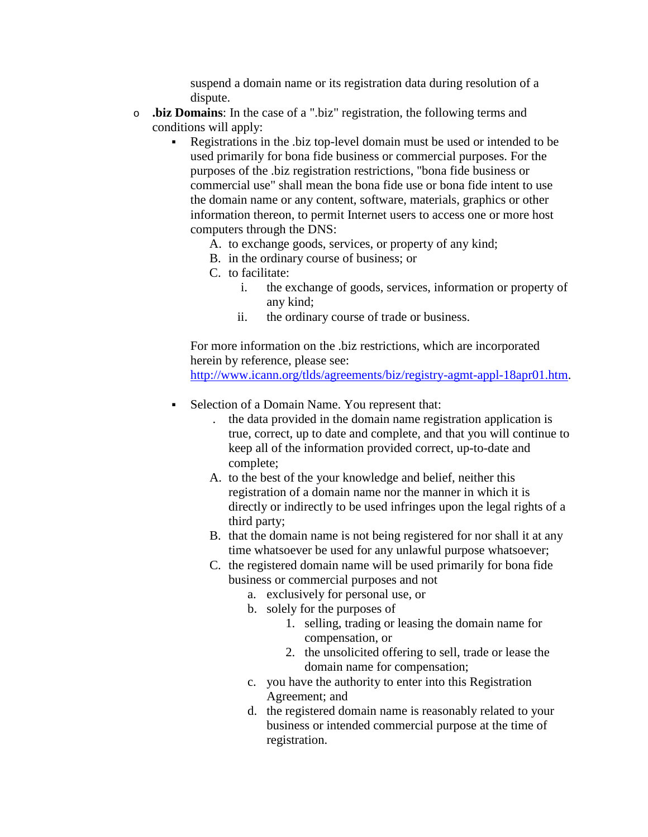suspend a domain name or its registration data during resolution of a dispute.

- o **.biz Domains**: In the case of a ".biz" registration, the following terms and conditions will apply:
	- Registrations in the .biz top-level domain must be used or intended to be used primarily for bona fide business or commercial purposes. For the purposes of the .biz registration restrictions, "bona fide business or commercial use" shall mean the bona fide use or bona fide intent to use the domain name or any content, software, materials, graphics or other information thereon, to permit Internet users to access one or more host computers through the DNS:
		- A. to exchange goods, services, or property of any kind;
		- B. in the ordinary course of business; or
		- C. to facilitate:
			- i. the exchange of goods, services, information or property of any kind;
			- ii. the ordinary course of trade or business.

For more information on the .biz restrictions, which are incorporated herein by reference, please see:

[http://www.icann.org/tlds/agreements/biz/registry-agmt-appl-18apr01.htm.](http://www.icann.org/tlds/agreements/biz/registry-agmt-appl-18apr01.htm)

- Selection of a Domain Name. You represent that:
	- . the data provided in the domain name registration application is true, correct, up to date and complete, and that you will continue to keep all of the information provided correct, up-to-date and complete;
	- A. to the best of the your knowledge and belief, neither this registration of a domain name nor the manner in which it is directly or indirectly to be used infringes upon the legal rights of a third party;
	- B. that the domain name is not being registered for nor shall it at any time whatsoever be used for any unlawful purpose whatsoever;
	- C. the registered domain name will be used primarily for bona fide business or commercial purposes and not
		- a. exclusively for personal use, or
		- b. solely for the purposes of
			- 1. selling, trading or leasing the domain name for compensation, or
			- 2. the unsolicited offering to sell, trade or lease the domain name for compensation;
		- c. you have the authority to enter into this Registration Agreement; and
		- d. the registered domain name is reasonably related to your business or intended commercial purpose at the time of registration.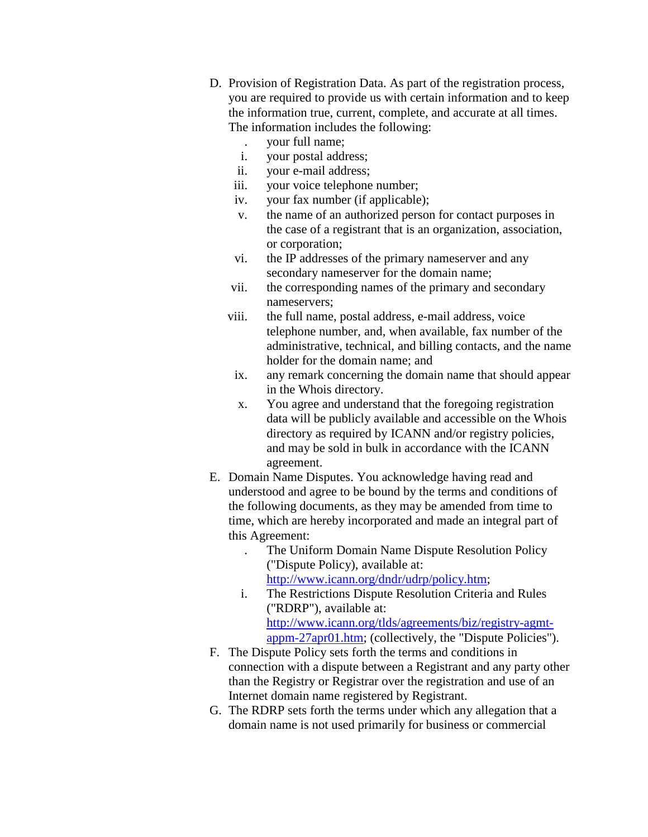- D. Provision of Registration Data. As part of the registration process, you are required to provide us with certain information and to keep the information true, current, complete, and accurate at all times. The information includes the following:
	- . your full name;
	- i. your postal address;
	- ii. your e-mail address;
	- iii. your voice telephone number;
	- iv. your fax number (if applicable);
	- v. the name of an authorized person for contact purposes in the case of a registrant that is an organization, association, or corporation;
	- vi. the IP addresses of the primary nameserver and any secondary nameserver for the domain name;
	- vii. the corresponding names of the primary and secondary nameservers;
	- viii. the full name, postal address, e-mail address, voice telephone number, and, when available, fax number of the administrative, technical, and billing contacts, and the name holder for the domain name; and
	- ix. any remark concerning the domain name that should appear in the Whois directory.
	- x. You agree and understand that the foregoing registration data will be publicly available and accessible on the Whois directory as required by ICANN and/or registry policies, and may be sold in bulk in accordance with the ICANN agreement.
- E. Domain Name Disputes. You acknowledge having read and understood and agree to be bound by the terms and conditions of the following documents, as they may be amended from time to time, which are hereby incorporated and made an integral part of this Agreement:
	- . The Uniform Domain Name Dispute Resolution Policy ("Dispute Policy), available at: [http://www.icann.org/dndr/udrp/policy.htm;](http://www.icann.org/dndr/udrp/policy.htm)
	- i. The Restrictions Dispute Resolution Criteria and Rules ("RDRP"), available at: [http://www.icann.org/tlds/agreements/biz/registry-agmt](http://www.icann.org/tlds/agreements/biz/registry-agmt-appm-27apr01.htm)[appm-27apr01.htm;](http://www.icann.org/tlds/agreements/biz/registry-agmt-appm-27apr01.htm) (collectively, the "Dispute Policies").
- F. The Dispute Policy sets forth the terms and conditions in connection with a dispute between a Registrant and any party other than the Registry or Registrar over the registration and use of an Internet domain name registered by Registrant.
- G. The RDRP sets forth the terms under which any allegation that a domain name is not used primarily for business or commercial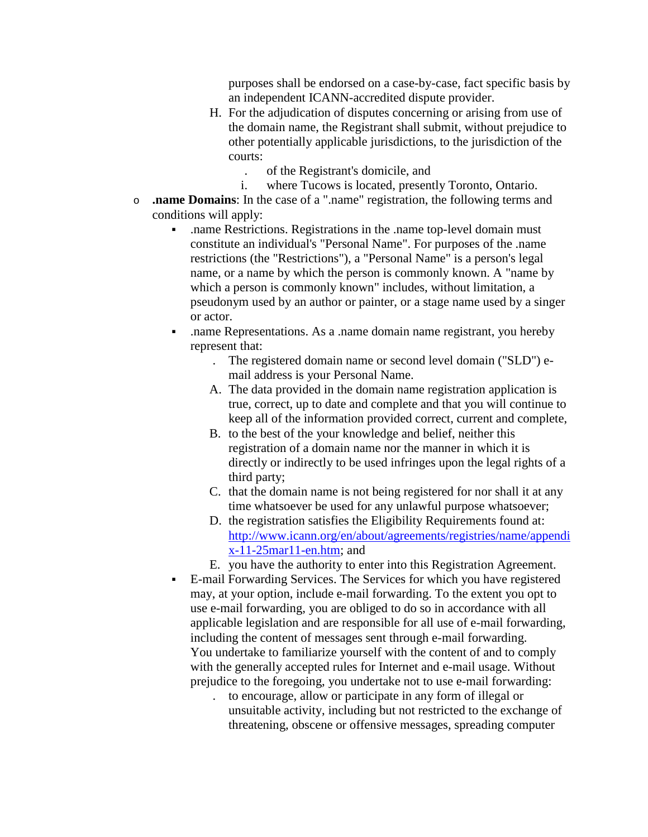purposes shall be endorsed on a case-by-case, fact specific basis by an independent ICANN-accredited dispute provider.

- H. For the adjudication of disputes concerning or arising from use of the domain name, the Registrant shall submit, without prejudice to other potentially applicable jurisdictions, to the jurisdiction of the courts:
	- . of the Registrant's domicile, and
	- i. where Tucows is located, presently Toronto, Ontario.
- o **.name Domains**: In the case of a ".name" registration, the following terms and conditions will apply:
	- .name Restrictions. Registrations in the .name top-level domain must constitute an individual's "Personal Name". For purposes of the .name restrictions (the "Restrictions"), a "Personal Name" is a person's legal name, or a name by which the person is commonly known. A "name by which a person is commonly known" includes, without limitation, a pseudonym used by an author or painter, or a stage name used by a singer or actor.
	- .name Representations. As a .name domain name registrant, you hereby represent that:
		- . The registered domain name or second level domain ("SLD") email address is your Personal Name.
		- A. The data provided in the domain name registration application is true, correct, up to date and complete and that you will continue to keep all of the information provided correct, current and complete,
		- B. to the best of the your knowledge and belief, neither this registration of a domain name nor the manner in which it is directly or indirectly to be used infringes upon the legal rights of a third party;
		- C. that the domain name is not being registered for nor shall it at any time whatsoever be used for any unlawful purpose whatsoever;
		- D. the registration satisfies the Eligibility Requirements found at: [http://www.icann.org/en/about/agreements/registries/name/appendi](http://www.icann.org/en/about/agreements/registries/name/appendix-11-25mar11-en.htm) [x-11-25mar11-en.htm;](http://www.icann.org/en/about/agreements/registries/name/appendix-11-25mar11-en.htm) and
		- E. you have the authority to enter into this Registration Agreement.
	- E-mail Forwarding Services. The Services for which you have registered may, at your option, include e-mail forwarding. To the extent you opt to use e-mail forwarding, you are obliged to do so in accordance with all applicable legislation and are responsible for all use of e-mail forwarding, including the content of messages sent through e-mail forwarding. You undertake to familiarize yourself with the content of and to comply with the generally accepted rules for Internet and e-mail usage. Without prejudice to the foregoing, you undertake not to use e-mail forwarding:
		- . to encourage, allow or participate in any form of illegal or unsuitable activity, including but not restricted to the exchange of threatening, obscene or offensive messages, spreading computer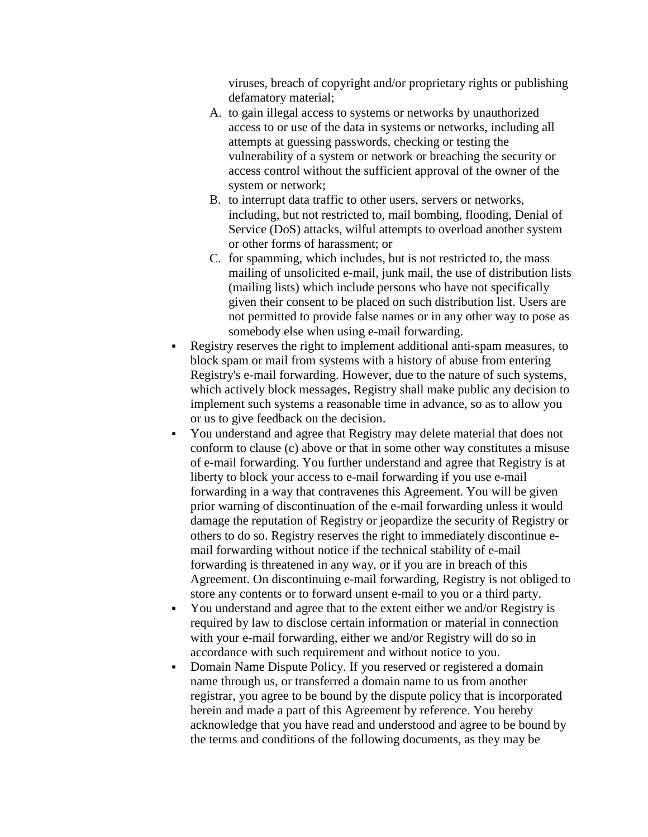viruses, breach of copyright and/or proprietary rights or publishing defamatory material;

- A. to gain illegal access to systems or networks by unauthorized access to or use of the data in systems or networks, including all attempts at guessing passwords, checking or testing the vulnerability of a system or network or breaching the security or access control without the sufficient approval of the owner of the system or network;
- B. to interrupt data traffic to other users, servers or networks, including, but not restricted to, mail bombing, flooding, Denial of Service (DoS) attacks, wilful attempts to overload another system or other forms of harassment; or
- C. for spamming, which includes, but is not restricted to, the mass mailing of unsolicited e-mail, junk mail, the use of distribution lists (mailing lists) which include persons who have not specifically given their consent to be placed on such distribution list. Users are not permitted to provide false names or in any other way to pose as somebody else when using e-mail forwarding.
- Registry reserves the right to implement additional anti-spam measures, to block spam or mail from systems with a history of abuse from entering Registry's e-mail forwarding. However, due to the nature of such systems, which actively block messages, Registry shall make public any decision to implement such systems a reasonable time in advance, so as to allow you or us to give feedback on the decision.
- You understand and agree that Registry may delete material that does not conform to clause (c) above or that in some other way constitutes a misuse of e-mail forwarding. You further understand and agree that Registry is at liberty to block your access to e-mail forwarding if you use e-mail forwarding in a way that contravenes this Agreement. You will be given prior warning of discontinuation of the e-mail forwarding unless it would damage the reputation of Registry or jeopardize the security of Registry or others to do so. Registry reserves the right to immediately discontinue email forwarding without notice if the technical stability of e-mail forwarding is threatened in any way, or if you are in breach of this Agreement. On discontinuing e-mail forwarding, Registry is not obliged to store any contents or to forward unsent e-mail to you or a third party.
- You understand and agree that to the extent either we and/or Registry is required by law to disclose certain information or material in connection with your e-mail forwarding, either we and/or Registry will do so in accordance with such requirement and without notice to you.
- Domain Name Dispute Policy. If you reserved or registered a domain name through us, or transferred a domain name to us from another registrar, you agree to be bound by the dispute policy that is incorporated herein and made a part of this Agreement by reference. You hereby acknowledge that you have read and understood and agree to be bound by the terms and conditions of the following documents, as they may be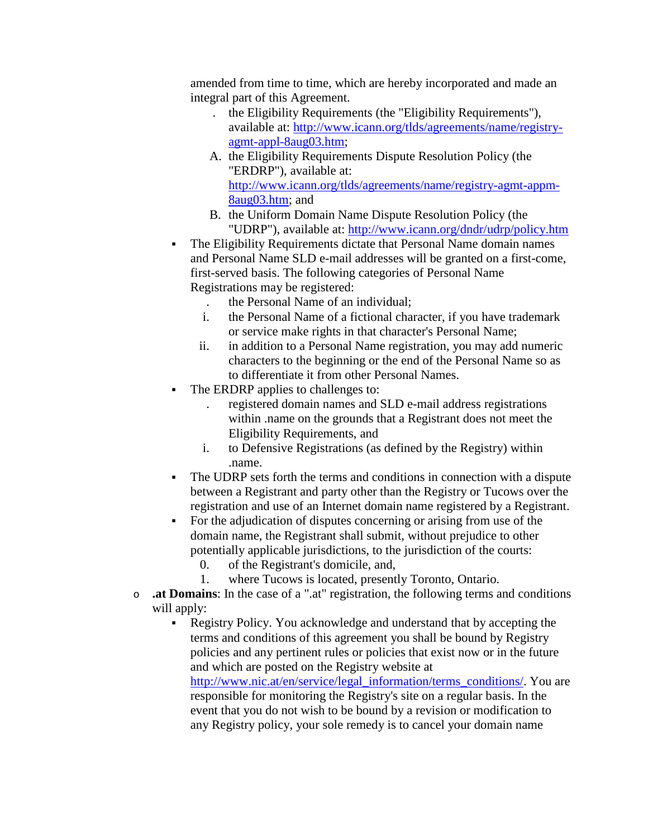amended from time to time, which are hereby incorporated and made an integral part of this Agreement.

- . the Eligibility Requirements (the "Eligibility Requirements"), available at: [http://www.icann.org/tlds/agreements/name/registry](http://www.icann.org/tlds/agreements/name/registry-agmt-appl-8aug03.htm)[agmt-appl-8aug03.htm;](http://www.icann.org/tlds/agreements/name/registry-agmt-appl-8aug03.htm)
- A. the Eligibility Requirements Dispute Resolution Policy (the "ERDRP"), available at: [http://www.icann.org/tlds/agreements/name/registry-agmt-appm-](http://www.icann.org/tlds/agreements/name/registry-agmt-appm-8aug03.htm)[8aug03.htm;](http://www.icann.org/tlds/agreements/name/registry-agmt-appm-8aug03.htm) and
- B. the Uniform Domain Name Dispute Resolution Policy (the "UDRP"), available at:<http://www.icann.org/dndr/udrp/policy.htm>
- The Eligibility Requirements dictate that Personal Name domain names and Personal Name SLD e-mail addresses will be granted on a first-come, first-served basis. The following categories of Personal Name Registrations may be registered:
	- . the Personal Name of an individual;
	- i. the Personal Name of a fictional character, if you have trademark or service make rights in that character's Personal Name;
	- ii. in addition to a Personal Name registration, you may add numeric characters to the beginning or the end of the Personal Name so as to differentiate it from other Personal Names.
- The ERDRP applies to challenges to:
	- . registered domain names and SLD e-mail address registrations within .name on the grounds that a Registrant does not meet the Eligibility Requirements, and
	- i. to Defensive Registrations (as defined by the Registry) within .name.
- The UDRP sets forth the terms and conditions in connection with a dispute between a Registrant and party other than the Registry or Tucows over the registration and use of an Internet domain name registered by a Registrant.
- For the adjudication of disputes concerning or arising from use of the domain name, the Registrant shall submit, without prejudice to other potentially applicable jurisdictions, to the jurisdiction of the courts:
	- 0. of the Registrant's domicile, and,
	- 1. where Tucows is located, presently Toronto, Ontario.
- o **.at Domains**: In the case of a ".at" registration, the following terms and conditions will apply:
	- Registry Policy. You acknowledge and understand that by accepting the terms and conditions of this agreement you shall be bound by Registry policies and any pertinent rules or policies that exist now or in the future and which are posted on the Registry website at

[http://www.nic.at/en/service/legal\\_information/terms\\_conditions/.](http://www.nic.at/en/service/legal_information/terms_conditions/) You are responsible for monitoring the Registry's site on a regular basis. In the event that you do not wish to be bound by a revision or modification to any Registry policy, your sole remedy is to cancel your domain name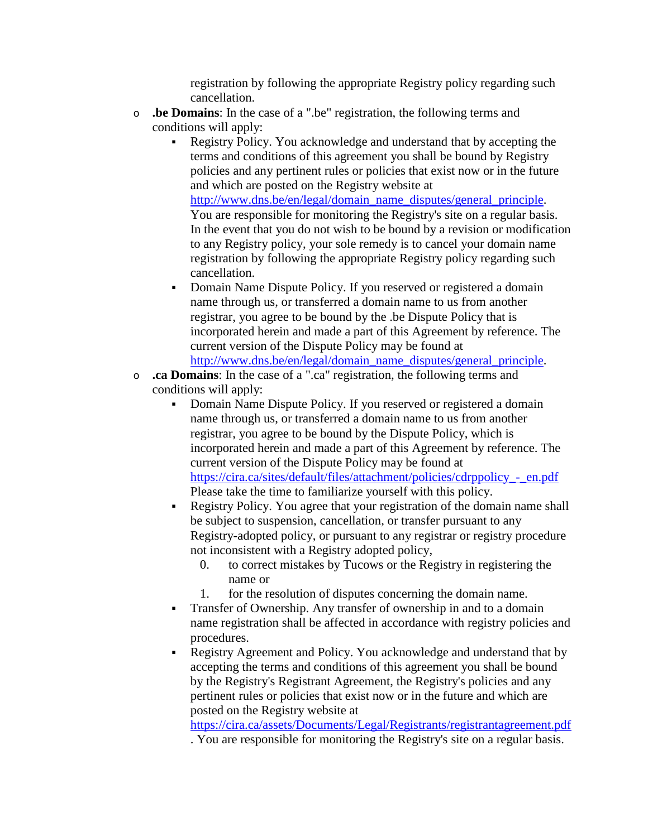registration by following the appropriate Registry policy regarding such cancellation.

- o **.be Domains**: In the case of a ".be" registration, the following terms and conditions will apply:
	- Registry Policy. You acknowledge and understand that by accepting the terms and conditions of this agreement you shall be bound by Registry policies and any pertinent rules or policies that exist now or in the future and which are posted on the Registry website at

[http://www.dns.be/en/legal/domain\\_name\\_disputes/general\\_principle.](http://www.dns.be/en/legal/domain_name_disputes/general_principle) You are responsible for monitoring the Registry's site on a regular basis. In the event that you do not wish to be bound by a revision or modification to any Registry policy, your sole remedy is to cancel your domain name registration by following the appropriate Registry policy regarding such cancellation.

- Domain Name Dispute Policy. If you reserved or registered a domain name through us, or transferred a domain name to us from another registrar, you agree to be bound by the .be Dispute Policy that is incorporated herein and made a part of this Agreement by reference. The current version of the Dispute Policy may be found at [http://www.dns.be/en/legal/domain\\_name\\_disputes/general\\_principle.](http://www.dns.be/en/legal/domain_name_disputes/general_principle)
- o **.ca Domains**: In the case of a ".ca" registration, the following terms and conditions will apply:
	- Domain Name Dispute Policy. If you reserved or registered a domain name through us, or transferred a domain name to us from another registrar, you agree to be bound by the Dispute Policy, which is incorporated herein and made a part of this Agreement by reference. The current version of the Dispute Policy may be found at [https://cira.ca/sites/default/files/attachment/policies/cdrppolicy\\_-\\_en.pdf](https://cira.ca/sites/default/files/attachment/policies/cdrppolicy_-_en.pdf) Please take the time to familiarize yourself with this policy.
	- Registry Policy. You agree that your registration of the domain name shall be subject to suspension, cancellation, or transfer pursuant to any Registry-adopted policy, or pursuant to any registrar or registry procedure not inconsistent with a Registry adopted policy,
		- 0. to correct mistakes by Tucows or the Registry in registering the name or
		- 1. for the resolution of disputes concerning the domain name.
	- Transfer of Ownership. Any transfer of ownership in and to a domain name registration shall be affected in accordance with registry policies and procedures.
	- Registry Agreement and Policy. You acknowledge and understand that by accepting the terms and conditions of this agreement you shall be bound by the Registry's Registrant Agreement, the Registry's policies and any pertinent rules or policies that exist now or in the future and which are posted on the Registry website at

<https://cira.ca/assets/Documents/Legal/Registrants/registrantagreement.pdf>

. You are responsible for monitoring the Registry's site on a regular basis.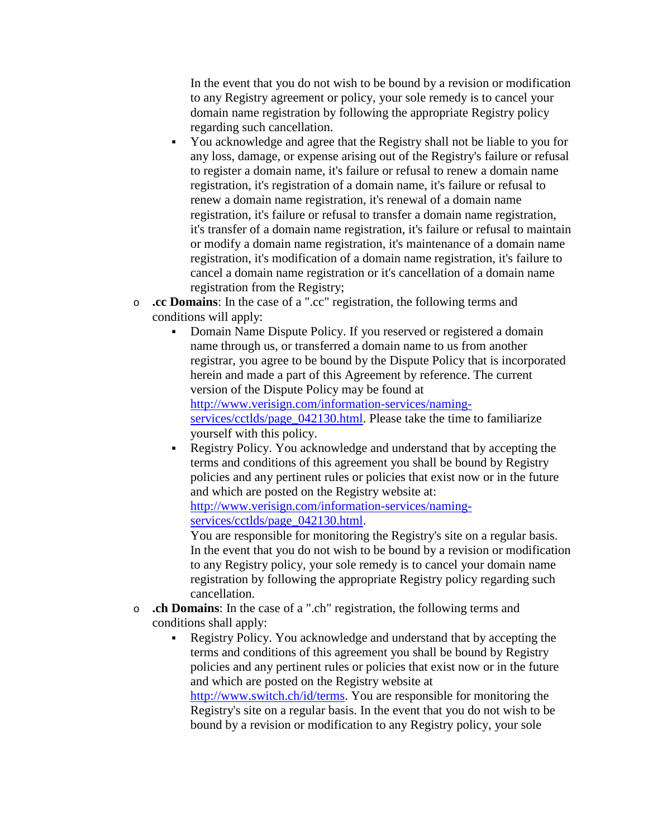In the event that you do not wish to be bound by a revision or modification to any Registry agreement or policy, your sole remedy is to cancel your domain name registration by following the appropriate Registry policy regarding such cancellation.

- You acknowledge and agree that the Registry shall not be liable to you for any loss, damage, or expense arising out of the Registry's failure or refusal to register a domain name, it's failure or refusal to renew a domain name registration, it's registration of a domain name, it's failure or refusal to renew a domain name registration, it's renewal of a domain name registration, it's failure or refusal to transfer a domain name registration, it's transfer of a domain name registration, it's failure or refusal to maintain or modify a domain name registration, it's maintenance of a domain name registration, it's modification of a domain name registration, it's failure to cancel a domain name registration or it's cancellation of a domain name registration from the Registry;
- o **.cc Domains**: In the case of a ".cc" registration, the following terms and conditions will apply:
	- Domain Name Dispute Policy. If you reserved or registered a domain name through us, or transferred a domain name to us from another registrar, you agree to be bound by the Dispute Policy that is incorporated herein and made a part of this Agreement by reference. The current version of the Dispute Policy may be found at [http://www.verisign.com/information-services/naming](http://www.verisign.com/information-services/naming-services/cctlds/page_042130.html)[services/cctlds/page\\_042130.html.](http://www.verisign.com/information-services/naming-services/cctlds/page_042130.html) Please take the time to familiarize yourself with this policy.
	- Registry Policy. You acknowledge and understand that by accepting the terms and conditions of this agreement you shall be bound by Registry policies and any pertinent rules or policies that exist now or in the future and which are posted on the Registry website at:

[http://www.verisign.com/information-services/naming](http://www.verisign.com/information-services/naming-services/cctlds/page_042130.html)[services/cctlds/page\\_042130.html.](http://www.verisign.com/information-services/naming-services/cctlds/page_042130.html)

You are responsible for monitoring the Registry's site on a regular basis. In the event that you do not wish to be bound by a revision or modification to any Registry policy, your sole remedy is to cancel your domain name registration by following the appropriate Registry policy regarding such cancellation.

- o **.ch Domains**: In the case of a ".ch" registration, the following terms and conditions shall apply:
	- Registry Policy. You acknowledge and understand that by accepting the terms and conditions of this agreement you shall be bound by Registry policies and any pertinent rules or policies that exist now or in the future and which are posted on the Registry website at

[http://www.switch.ch/id/terms.](http://www.switch.ch/id/terms) You are responsible for monitoring the Registry's site on a regular basis. In the event that you do not wish to be bound by a revision or modification to any Registry policy, your sole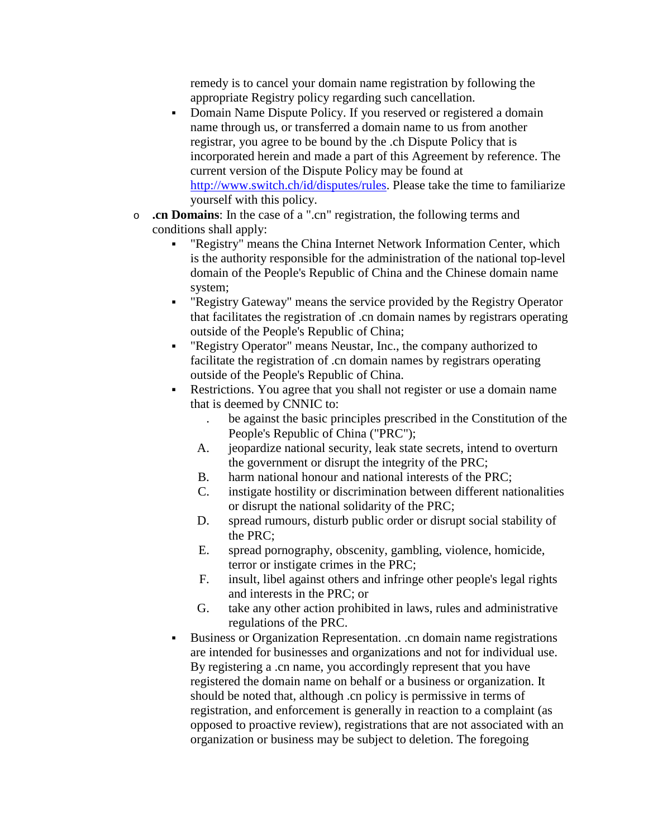remedy is to cancel your domain name registration by following the appropriate Registry policy regarding such cancellation.

- Domain Name Dispute Policy. If you reserved or registered a domain name through us, or transferred a domain name to us from another registrar, you agree to be bound by the .ch Dispute Policy that is incorporated herein and made a part of this Agreement by reference. The current version of the Dispute Policy may be found at [http://www.switch.ch/id/disputes/rules.](http://www.switch.ch/id/disputes/rules) Please take the time to familiarize yourself with this policy.
- o **.cn Domains**: In the case of a ".cn" registration, the following terms and conditions shall apply:
	- "Registry" means the China Internet Network Information Center, which is the authority responsible for the administration of the national top-level domain of the People's Republic of China and the Chinese domain name system;
	- "Registry Gateway" means the service provided by the Registry Operator that facilitates the registration of .cn domain names by registrars operating outside of the People's Republic of China;
	- "Registry Operator" means Neustar, Inc., the company authorized to facilitate the registration of .cn domain names by registrars operating outside of the People's Republic of China.
	- Restrictions. You agree that you shall not register or use a domain name that is deemed by CNNIC to:
		- . be against the basic principles prescribed in the Constitution of the People's Republic of China ("PRC");
		- A. jeopardize national security, leak state secrets, intend to overturn the government or disrupt the integrity of the PRC;
		- B. harm national honour and national interests of the PRC;
		- C. instigate hostility or discrimination between different nationalities or disrupt the national solidarity of the PRC;
		- D. spread rumours, disturb public order or disrupt social stability of the PRC;
		- E. spread pornography, obscenity, gambling, violence, homicide, terror or instigate crimes in the PRC;
		- F. insult, libel against others and infringe other people's legal rights and interests in the PRC; or
		- G. take any other action prohibited in laws, rules and administrative regulations of the PRC.
	- Business or Organization Representation. .cn domain name registrations are intended for businesses and organizations and not for individual use. By registering a .cn name, you accordingly represent that you have registered the domain name on behalf or a business or organization. It should be noted that, although .cn policy is permissive in terms of registration, and enforcement is generally in reaction to a complaint (as opposed to proactive review), registrations that are not associated with an organization or business may be subject to deletion. The foregoing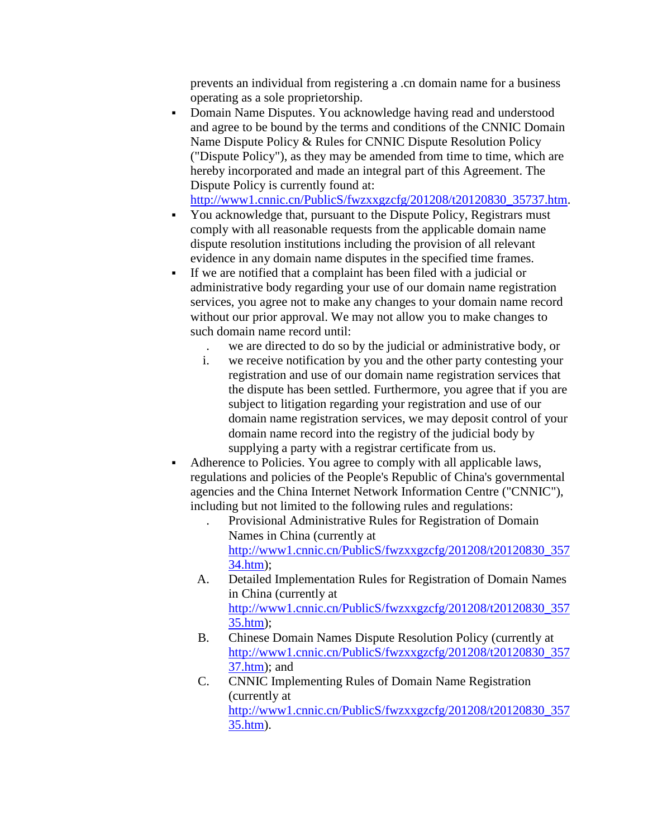prevents an individual from registering a .cn domain name for a business operating as a sole proprietorship.

 Domain Name Disputes. You acknowledge having read and understood and agree to be bound by the terms and conditions of the CNNIC Domain Name Dispute Policy & Rules for CNNIC Dispute Resolution Policy ("Dispute Policy"), as they may be amended from time to time, which are hereby incorporated and made an integral part of this Agreement. The Dispute Policy is currently found at:

[http://www1.cnnic.cn/PublicS/fwzxxgzcfg/201208/t20120830\\_35737.htm.](http://www1.cnnic.cn/PublicS/fwzxxgzcfg/201208/t20120830_35737.htm)

- You acknowledge that, pursuant to the Dispute Policy, Registrars must comply with all reasonable requests from the applicable domain name dispute resolution institutions including the provision of all relevant evidence in any domain name disputes in the specified time frames.
- If we are notified that a complaint has been filed with a judicial or administrative body regarding your use of our domain name registration services, you agree not to make any changes to your domain name record without our prior approval. We may not allow you to make changes to such domain name record until:
	- . we are directed to do so by the judicial or administrative body, or
	- i. we receive notification by you and the other party contesting your registration and use of our domain name registration services that the dispute has been settled. Furthermore, you agree that if you are subject to litigation regarding your registration and use of our domain name registration services, we may deposit control of your domain name record into the registry of the judicial body by supplying a party with a registrar certificate from us.
- Adherence to Policies. You agree to comply with all applicable laws, regulations and policies of the People's Republic of China's governmental agencies and the China Internet Network Information Centre ("CNNIC"), including but not limited to the following rules and regulations:
	- . Provisional Administrative Rules for Registration of Domain Names in China (currently at [http://www1.cnnic.cn/PublicS/fwzxxgzcfg/201208/t20120830\\_357](http://www1.cnnic.cn/PublicS/fwzxxgzcfg/201208/t20120830_35734.htm) [34.htm\)](http://www1.cnnic.cn/PublicS/fwzxxgzcfg/201208/t20120830_35734.htm);
	- A. Detailed Implementation Rules for Registration of Domain Names in China (currently at [http://www1.cnnic.cn/PublicS/fwzxxgzcfg/201208/t20120830\\_357](http://www1.cnnic.cn/PublicS/fwzxxgzcfg/201208/t20120830_35735.htm) [35.htm\)](http://www1.cnnic.cn/PublicS/fwzxxgzcfg/201208/t20120830_35735.htm);
	- B. Chinese Domain Names Dispute Resolution Policy (currently at [http://www1.cnnic.cn/PublicS/fwzxxgzcfg/201208/t20120830\\_357](http://www1.cnnic.cn/PublicS/fwzxxgzcfg/201208/t20120830_35737.htm) [37.htm\)](http://www1.cnnic.cn/PublicS/fwzxxgzcfg/201208/t20120830_35737.htm); and
	- C. CNNIC Implementing Rules of Domain Name Registration (currently at [http://www1.cnnic.cn/PublicS/fwzxxgzcfg/201208/t20120830\\_357](http://www1.cnnic.cn/PublicS/fwzxxgzcfg/201208/t20120830_35735.htm) [35.htm\)](http://www1.cnnic.cn/PublicS/fwzxxgzcfg/201208/t20120830_35735.htm).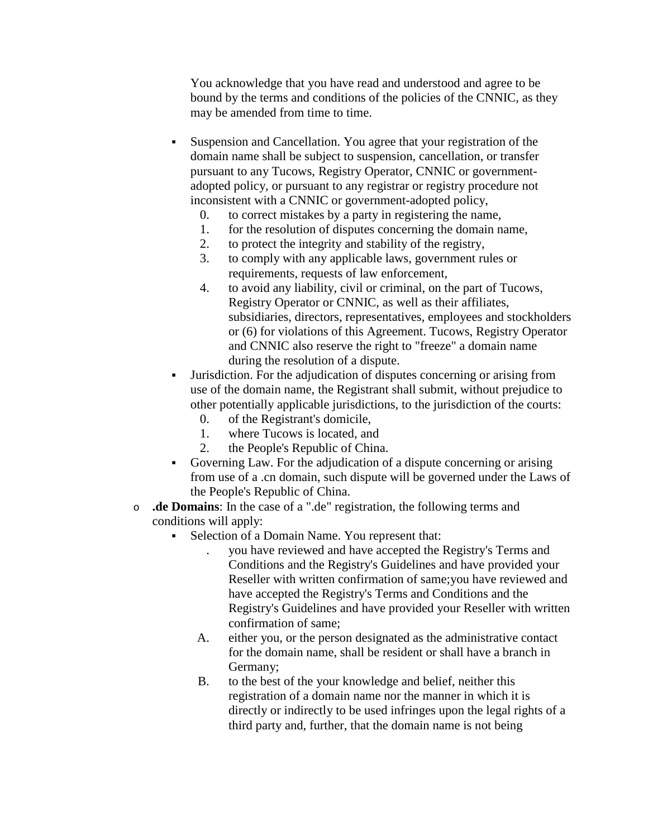You acknowledge that you have read and understood and agree to be bound by the terms and conditions of the policies of the CNNIC, as they may be amended from time to time.

- Suspension and Cancellation. You agree that your registration of the domain name shall be subject to suspension, cancellation, or transfer pursuant to any Tucows, Registry Operator, CNNIC or governmentadopted policy, or pursuant to any registrar or registry procedure not inconsistent with a CNNIC or government-adopted policy,
	- 0. to correct mistakes by a party in registering the name,
	- 1. for the resolution of disputes concerning the domain name,
	- 2. to protect the integrity and stability of the registry,
	- 3. to comply with any applicable laws, government rules or requirements, requests of law enforcement,
	- 4. to avoid any liability, civil or criminal, on the part of Tucows, Registry Operator or CNNIC, as well as their affiliates, subsidiaries, directors, representatives, employees and stockholders or (6) for violations of this Agreement. Tucows, Registry Operator and CNNIC also reserve the right to "freeze" a domain name during the resolution of a dispute.
- Jurisdiction. For the adjudication of disputes concerning or arising from use of the domain name, the Registrant shall submit, without prejudice to other potentially applicable jurisdictions, to the jurisdiction of the courts:
	- 0. of the Registrant's domicile,
	- 1. where Tucows is located, and
	- 2. the People's Republic of China.
- Governing Law. For the adjudication of a dispute concerning or arising from use of a .cn domain, such dispute will be governed under the Laws of the People's Republic of China.
- o **.de Domains**: In the case of a ".de" registration, the following terms and conditions will apply:
	- Selection of a Domain Name. You represent that:
		- . you have reviewed and have accepted the Registry's Terms and Conditions and the Registry's Guidelines and have provided your Reseller with written confirmation of same;you have reviewed and have accepted the Registry's Terms and Conditions and the Registry's Guidelines and have provided your Reseller with written confirmation of same;
		- A. either you, or the person designated as the administrative contact for the domain name, shall be resident or shall have a branch in Germany;
		- B. to the best of the your knowledge and belief, neither this registration of a domain name nor the manner in which it is directly or indirectly to be used infringes upon the legal rights of a third party and, further, that the domain name is not being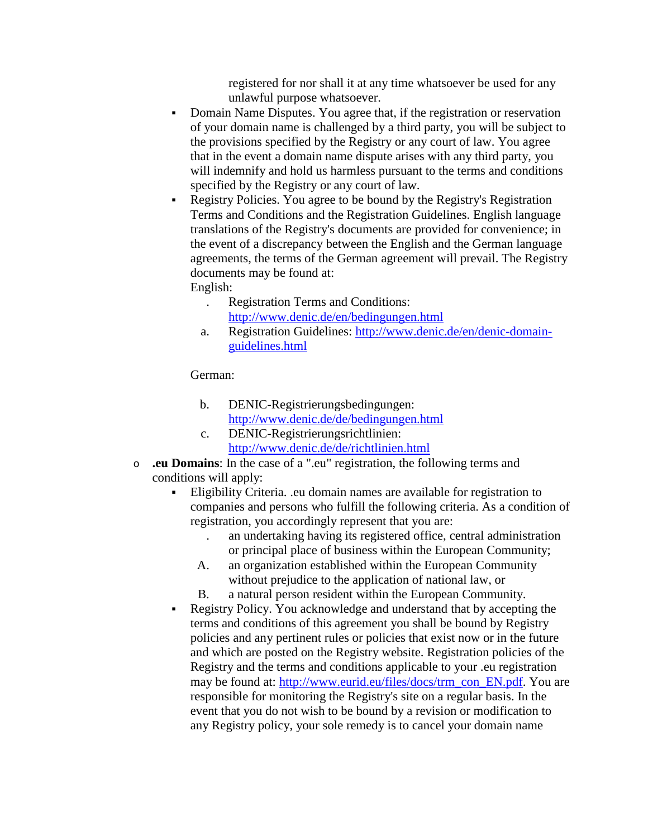registered for nor shall it at any time whatsoever be used for any unlawful purpose whatsoever.

- Domain Name Disputes. You agree that, if the registration or reservation of your domain name is challenged by a third party, you will be subject to the provisions specified by the Registry or any court of law. You agree that in the event a domain name dispute arises with any third party, you will indemnify and hold us harmless pursuant to the terms and conditions specified by the Registry or any court of law.
- Registry Policies. You agree to be bound by the Registry's Registration Terms and Conditions and the Registration Guidelines. English language translations of the Registry's documents are provided for convenience; in the event of a discrepancy between the English and the German language agreements, the terms of the German agreement will prevail. The Registry documents may be found at:

English:

- . Registration Terms and Conditions: <http://www.denic.de/en/bedingungen.html>
- a. Registration Guidelines: [http://www.denic.de/en/denic-domain](http://www.denic.de/en/denic-domain-guidelines.html)[guidelines.html](http://www.denic.de/en/denic-domain-guidelines.html)

#### German:

- b. DENIC-Registrierungsbedingungen: <http://www.denic.de/de/bedingungen.html>
- c. DENIC-Registrierungsrichtlinien: <http://www.denic.de/de/richtlinien.html>
- o **.eu Domains**: In the case of a ".eu" registration, the following terms and conditions will apply:
	- Eligibility Criteria. .eu domain names are available for registration to companies and persons who fulfill the following criteria. As a condition of registration, you accordingly represent that you are:
		- . an undertaking having its registered office, central administration or principal place of business within the European Community;
		- A. an organization established within the European Community without prejudice to the application of national law, or
		- B. a natural person resident within the European Community.
	- Registry Policy. You acknowledge and understand that by accepting the terms and conditions of this agreement you shall be bound by Registry policies and any pertinent rules or policies that exist now or in the future and which are posted on the Registry website. Registration policies of the Registry and the terms and conditions applicable to your .eu registration may be found at: [http://www.eurid.eu/files/docs/trm\\_con\\_EN.pdf.](http://www.eurid.eu/files/docs/trm_con_EN.pdf) You are responsible for monitoring the Registry's site on a regular basis. In the event that you do not wish to be bound by a revision or modification to any Registry policy, your sole remedy is to cancel your domain name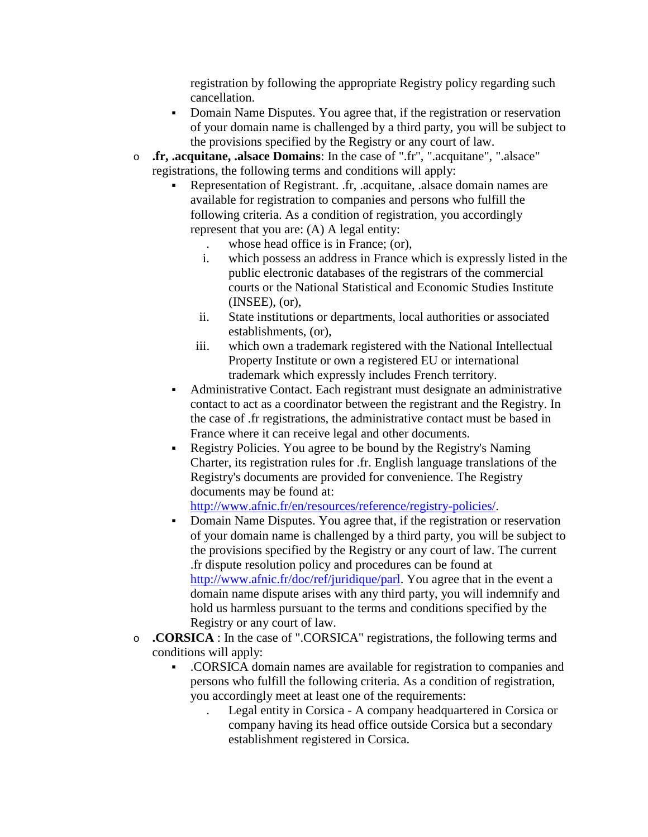registration by following the appropriate Registry policy regarding such cancellation.

- Domain Name Disputes. You agree that, if the registration or reservation of your domain name is challenged by a third party, you will be subject to the provisions specified by the Registry or any court of law.
- o **.fr, .acquitane, .alsace Domains**: In the case of ".fr", ".acquitane", ".alsace" registrations, the following terms and conditions will apply:
	- Representation of Registrant. .fr, .acquitane, .alsace domain names are available for registration to companies and persons who fulfill the following criteria. As a condition of registration, you accordingly represent that you are: (A) A legal entity:
		- . whose head office is in France; (or),
		- i. which possess an address in France which is expressly listed in the public electronic databases of the registrars of the commercial courts or the National Statistical and Economic Studies Institute (INSEE), (or),
		- ii. State institutions or departments, local authorities or associated establishments, (or),
		- iii. which own a trademark registered with the National Intellectual Property Institute or own a registered EU or international trademark which expressly includes French territory.
	- Administrative Contact. Each registrant must designate an administrative contact to act as a coordinator between the registrant and the Registry. In the case of .fr registrations, the administrative contact must be based in France where it can receive legal and other documents.
	- Registry Policies. You agree to be bound by the Registry's Naming Charter, its registration rules for .fr. English language translations of the Registry's documents are provided for convenience. The Registry documents may be found at:

[http://www.afnic.fr/en/resources/reference/registry-policies/.](http://www.afnic.fr/en/resources/reference/registry-policies/)

- Domain Name Disputes. You agree that, if the registration or reservation of your domain name is challenged by a third party, you will be subject to the provisions specified by the Registry or any court of law. The current .fr dispute resolution policy and procedures can be found at [http://www.afnic.fr/doc/ref/juridique/parl.](http://www.afnic.fr/doc/ref/juridique/parl) You agree that in the event a domain name dispute arises with any third party, you will indemnify and hold us harmless pursuant to the terms and conditions specified by the Registry or any court of law.
- o **.CORSICA** : In the case of ".CORSICA" registrations, the following terms and conditions will apply:
	- .CORSICA domain names are available for registration to companies and persons who fulfill the following criteria. As a condition of registration, you accordingly meet at least one of the requirements:
		- . Legal entity in Corsica A company headquartered in Corsica or company having its head office outside Corsica but a secondary establishment registered in Corsica.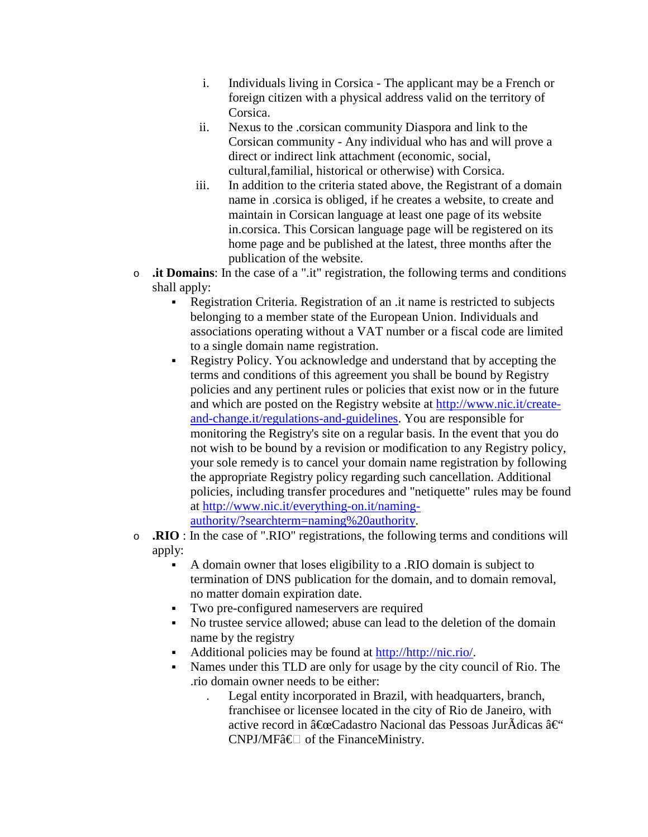- i. Individuals living in Corsica The applicant may be a French or foreign citizen with a physical address valid on the territory of Corsica.
- ii. Nexus to the .corsican community Diaspora and link to the Corsican community - Any individual who has and will prove a direct or indirect link attachment (economic, social, cultural,familial, historical or otherwise) with Corsica.
- iii. In addition to the criteria stated above, the Registrant of a domain name in .corsica is obliged, if he creates a website, to create and maintain in Corsican language at least one page of its website in.corsica. This Corsican language page will be registered on its home page and be published at the latest, three months after the publication of the website.
- o **.it Domains**: In the case of a ".it" registration, the following terms and conditions shall apply:
	- Registration Criteria. Registration of an .it name is restricted to subjects belonging to a member state of the European Union. Individuals and associations operating without a VAT number or a fiscal code are limited to a single domain name registration.
	- Registry Policy. You acknowledge and understand that by accepting the terms and conditions of this agreement you shall be bound by Registry policies and any pertinent rules or policies that exist now or in the future and which are posted on the Registry website at [http://www.nic.it/create](http://www.nic.it/create-and-change.it/regulations-and-guidelines)[and-change.it/regulations-and-guidelines.](http://www.nic.it/create-and-change.it/regulations-and-guidelines) You are responsible for monitoring the Registry's site on a regular basis. In the event that you do not wish to be bound by a revision or modification to any Registry policy, your sole remedy is to cancel your domain name registration by following the appropriate Registry policy regarding such cancellation. Additional policies, including transfer procedures and "netiquette" rules may be found at [http://www.nic.it/everything-on.it/naming](http://www.nic.it/everything-on.it/naming-authority/?searchterm=naming%20authority)[authority/?searchterm=naming%20authority.](http://www.nic.it/everything-on.it/naming-authority/?searchterm=naming%20authority)
- o **.RIO** : In the case of ".RIO" registrations, the following terms and conditions will apply:
	- A domain owner that loses eligibility to a .RIO domain is subject to termination of DNS publication for the domain, and to domain removal, no matter domain expiration date.
	- Two pre-configured nameservers are required
	- No trustee service allowed; abuse can lead to the deletion of the domain name by the registry
	- Additional policies may be found at [http://http://nic.rio/.](http://nic.rio/)
	- Names under this TLD are only for usage by the city council of Rio. The .rio domain owner needs to be either:
		- . Legal entity incorporated in Brazil, with headquarters, branch, franchisee or licensee located in the city of Rio de Janeiro, with active record in  $\hat{a} \in C$ adastro Nacional das Pessoas JurÃdicas  $\hat{a} \in C$ CNPJ/MF†of the FinanceMinistry.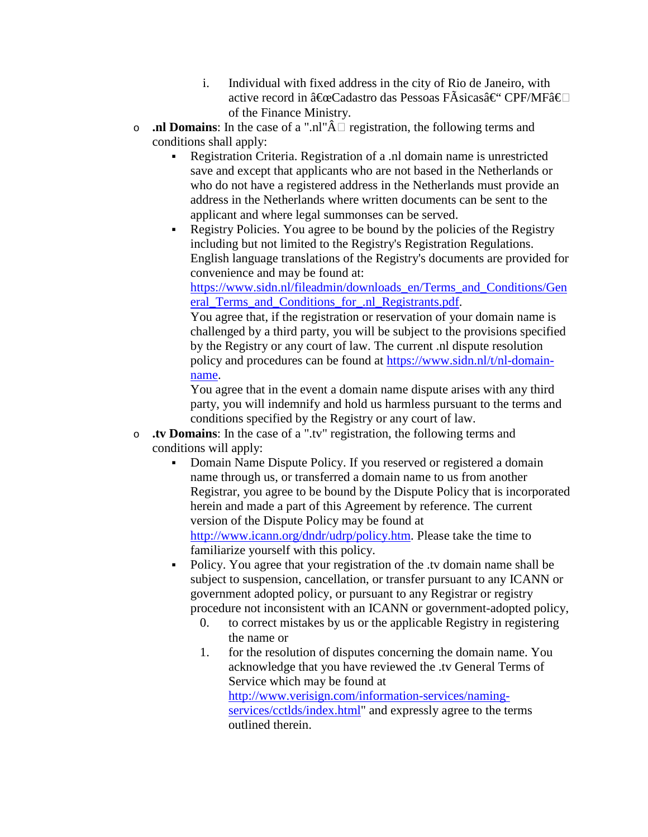- i. Individual with fixed address in the city of Rio de Janeiro, with active record in "Cadastro das Pessoas FÃsicas†CPF/MFâ€ of the Finance Ministry.
- **... ... Domains**: In the case of a ".nl" $\hat{A}$  registration, the following terms and conditions shall apply:
	- Registration Criteria. Registration of a .nl domain name is unrestricted save and except that applicants who are not based in the Netherlands or who do not have a registered address in the Netherlands must provide an address in the Netherlands where written documents can be sent to the applicant and where legal summonses can be served.
	- Registry Policies. You agree to be bound by the policies of the Registry including but not limited to the Registry's Registration Regulations. English language translations of the Registry's documents are provided for convenience and may be found at:

[https://www.sidn.nl/fileadmin/downloads\\_en/Terms\\_and\\_Conditions/Gen](https://www.sidn.nl/fileadmin/downloads_en/Terms_and_Conditions/General_Terms_and_Conditions_for_.nl_Registrants.pdf) [eral\\_Terms\\_and\\_Conditions\\_for\\_.nl\\_Registrants.pdf.](https://www.sidn.nl/fileadmin/downloads_en/Terms_and_Conditions/General_Terms_and_Conditions_for_.nl_Registrants.pdf)

You agree that, if the registration or reservation of your domain name is challenged by a third party, you will be subject to the provisions specified by the Registry or any court of law. The current .nl dispute resolution policy and procedures can be found at [https://www.sidn.nl/t/nl-domain](https://www.sidn.nl/t/nl-domain-name#category-6bad0d84-0b1b-41fd-948d-3f0ba9a1c86a)[name.](https://www.sidn.nl/t/nl-domain-name#category-6bad0d84-0b1b-41fd-948d-3f0ba9a1c86a)

You agree that in the event a domain name dispute arises with any third party, you will indemnify and hold us harmless pursuant to the terms and conditions specified by the Registry or any court of law.

- o **.tv Domains**: In the case of a ".tv" registration, the following terms and conditions will apply:
	- Domain Name Dispute Policy. If you reserved or registered a domain name through us, or transferred a domain name to us from another Registrar, you agree to be bound by the Dispute Policy that is incorporated herein and made a part of this Agreement by reference. The current version of the Dispute Policy may be found at [http://www.icann.org/dndr/udrp/policy.htm.](http://www.icann.org/dndr/udrp/policy.htm) Please take the time to familiarize yourself with this policy.
	- Policy. You agree that your registration of the .tv domain name shall be subject to suspension, cancellation, or transfer pursuant to any ICANN or government adopted policy, or pursuant to any Registrar or registry procedure not inconsistent with an ICANN or government-adopted policy,
		- 0. to correct mistakes by us or the applicable Registry in registering the name or
		- 1. for the resolution of disputes concerning the domain name. You acknowledge that you have reviewed the .tv General Terms of Service which may be found at [http://www.verisign.com/information-services/naming](http://www.verisign.com/information-services/naming-services/cctlds/index.html)[services/cctlds/index.html"](http://www.verisign.com/information-services/naming-services/cctlds/index.html) and expressly agree to the terms outlined therein.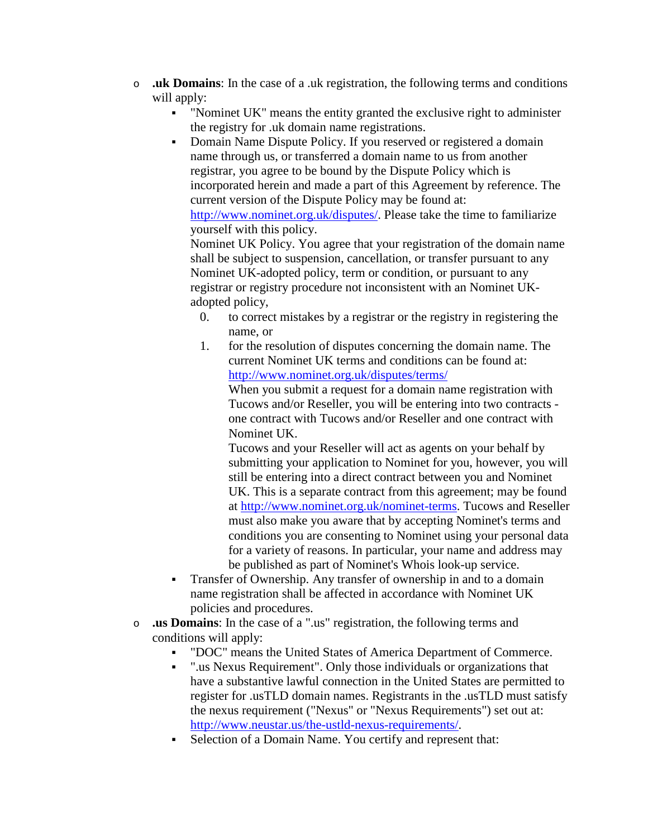- o **.uk Domains**: In the case of a .uk registration, the following terms and conditions will apply:
	- "Nominet UK" means the entity granted the exclusive right to administer the registry for .uk domain name registrations.
	- Domain Name Dispute Policy. If you reserved or registered a domain name through us, or transferred a domain name to us from another registrar, you agree to be bound by the Dispute Policy which is incorporated herein and made a part of this Agreement by reference. The current version of the Dispute Policy may be found at: [http://www.nominet.org.uk/disputes/.](http://www.nominet.org.uk/disputes/) Please take the time to familiarize yourself with this policy.

Nominet UK Policy. You agree that your registration of the domain name shall be subject to suspension, cancellation, or transfer pursuant to any Nominet UK-adopted policy, term or condition, or pursuant to any registrar or registry procedure not inconsistent with an Nominet UKadopted policy,

- 0. to correct mistakes by a registrar or the registry in registering the name, or
- 1. for the resolution of disputes concerning the domain name. The current Nominet UK terms and conditions can be found at: <http://www.nominet.org.uk/disputes/terms/>

When you submit a request for a domain name registration with Tucows and/or Reseller, you will be entering into two contracts one contract with Tucows and/or Reseller and one contract with Nominet UK.

Tucows and your Reseller will act as agents on your behalf by submitting your application to Nominet for you, however, you will still be entering into a direct contract between you and Nominet UK. This is a separate contract from this agreement; may be found at [http://www.nominet.org.uk/nominet-terms.](http://www.nominet.org.uk/nominet-terms) Tucows and Reseller must also make you aware that by accepting Nominet's terms and conditions you are consenting to Nominet using your personal data for a variety of reasons. In particular, your name and address may be published as part of Nominet's Whois look-up service.

- Transfer of Ownership. Any transfer of ownership in and to a domain name registration shall be affected in accordance with Nominet UK policies and procedures.
- o **.us Domains**: In the case of a ".us" registration, the following terms and conditions will apply:
	- "DOC" means the United States of America Department of Commerce.
	- ".us Nexus Requirement". Only those individuals or organizations that have a substantive lawful connection in the United States are permitted to register for .usTLD domain names. Registrants in the .usTLD must satisfy the nexus requirement ("Nexus" or "Nexus Requirements") set out at: [http://www.neustar.us/the-ustld-nexus-requirements/.](http://www.neustar.us/the-ustld-nexus-requirements/)
	- Selection of a Domain Name. You certify and represent that: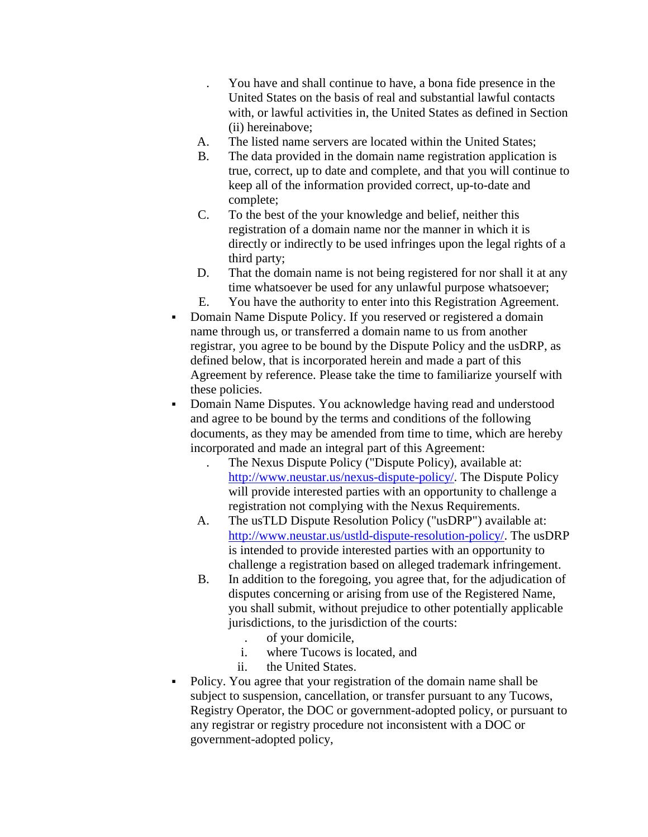- . You have and shall continue to have, a bona fide presence in the United States on the basis of real and substantial lawful contacts with, or lawful activities in, the United States as defined in Section (ii) hereinabove;
- A. The listed name servers are located within the United States;
- B. The data provided in the domain name registration application is true, correct, up to date and complete, and that you will continue to keep all of the information provided correct, up-to-date and complete;
- C. To the best of the your knowledge and belief, neither this registration of a domain name nor the manner in which it is directly or indirectly to be used infringes upon the legal rights of a third party;
- D. That the domain name is not being registered for nor shall it at any time whatsoever be used for any unlawful purpose whatsoever;
- E. You have the authority to enter into this Registration Agreement.
- Domain Name Dispute Policy. If you reserved or registered a domain name through us, or transferred a domain name to us from another registrar, you agree to be bound by the Dispute Policy and the usDRP, as defined below, that is incorporated herein and made a part of this Agreement by reference. Please take the time to familiarize yourself with these policies.
- Domain Name Disputes. You acknowledge having read and understood and agree to be bound by the terms and conditions of the following documents, as they may be amended from time to time, which are hereby incorporated and made an integral part of this Agreement:
	- . The Nexus Dispute Policy ("Dispute Policy), available at: [http://www.neustar.us/nexus-dispute-policy/.](http://www.neustar.us/nexus-dispute-policy/) The Dispute Policy will provide interested parties with an opportunity to challenge a registration not complying with the Nexus Requirements.
	- A. The usTLD Dispute Resolution Policy ("usDRP") available at: [http://www.neustar.us/ustld-dispute-resolution-policy/.](http://www.neustar.us/ustld-dispute-resolution-policy/) The usDRP is intended to provide interested parties with an opportunity to challenge a registration based on alleged trademark infringement.
	- B. In addition to the foregoing, you agree that, for the adjudication of disputes concerning or arising from use of the Registered Name, you shall submit, without prejudice to other potentially applicable jurisdictions, to the jurisdiction of the courts:
		- . of your domicile,<br>i. where Tucows is
		- where Tucows is located, and
		- ii. the United States.
- Policy. You agree that your registration of the domain name shall be subject to suspension, cancellation, or transfer pursuant to any Tucows, Registry Operator, the DOC or government-adopted policy, or pursuant to any registrar or registry procedure not inconsistent with a DOC or government-adopted policy,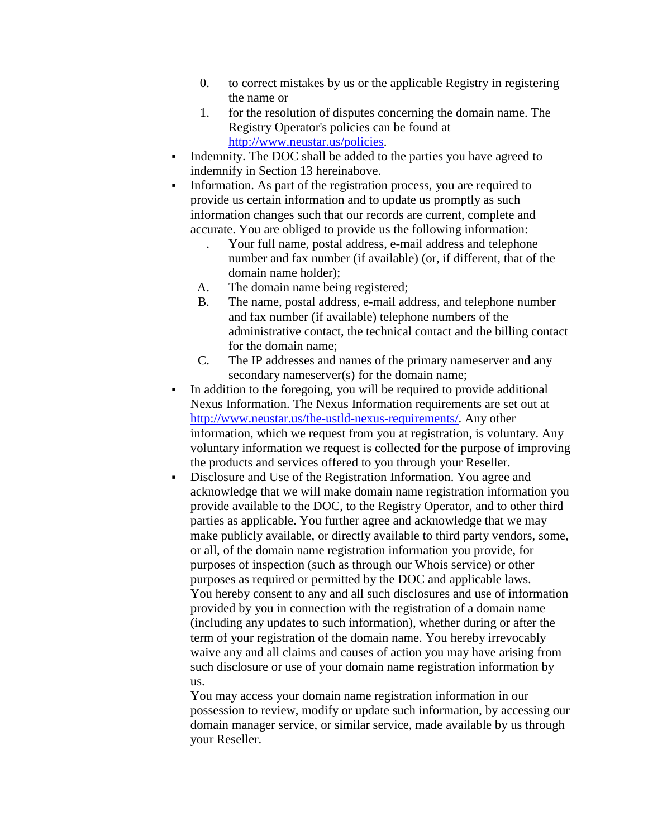- 0. to correct mistakes by us or the applicable Registry in registering the name or
- 1. for the resolution of disputes concerning the domain name. The Registry Operator's policies can be found at [http://www.neustar.us/policies.](http://www.neustar.us/policies)
- Indemnity. The DOC shall be added to the parties you have agreed to indemnify in Section 13 hereinabove.
- Information. As part of the registration process, you are required to provide us certain information and to update us promptly as such information changes such that our records are current, complete and accurate. You are obliged to provide us the following information:
	- . Your full name, postal address, e-mail address and telephone number and fax number (if available) (or, if different, that of the domain name holder);
	- A. The domain name being registered;
	- B. The name, postal address, e-mail address, and telephone number and fax number (if available) telephone numbers of the administrative contact, the technical contact and the billing contact for the domain name;
	- C. The IP addresses and names of the primary nameserver and any secondary nameserver(s) for the domain name;
- In addition to the foregoing, you will be required to provide additional Nexus Information. The Nexus Information requirements are set out at [http://www.neustar.us/the-ustld-nexus-requirements/.](http://www.neustar.us/the-ustld-nexus-requirements/) Any other information, which we request from you at registration, is voluntary. Any voluntary information we request is collected for the purpose of improving the products and services offered to you through your Reseller.
- Disclosure and Use of the Registration Information. You agree and acknowledge that we will make domain name registration information you provide available to the DOC, to the Registry Operator, and to other third parties as applicable. You further agree and acknowledge that we may make publicly available, or directly available to third party vendors, some, or all, of the domain name registration information you provide, for purposes of inspection (such as through our Whois service) or other purposes as required or permitted by the DOC and applicable laws. You hereby consent to any and all such disclosures and use of information provided by you in connection with the registration of a domain name (including any updates to such information), whether during or after the term of your registration of the domain name. You hereby irrevocably waive any and all claims and causes of action you may have arising from such disclosure or use of your domain name registration information by us.

You may access your domain name registration information in our possession to review, modify or update such information, by accessing our domain manager service, or similar service, made available by us through your Reseller.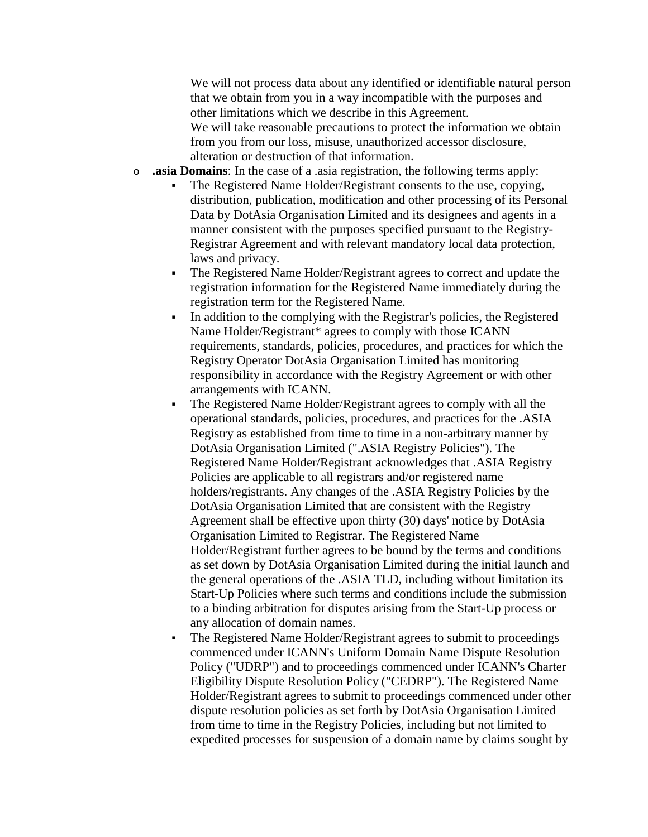We will not process data about any identified or identifiable natural person that we obtain from you in a way incompatible with the purposes and other limitations which we describe in this Agreement.

We will take reasonable precautions to protect the information we obtain from you from our loss, misuse, unauthorized accessor disclosure, alteration or destruction of that information.

- o **.asia Domains**: In the case of a .asia registration, the following terms apply:
	- The Registered Name Holder/Registrant consents to the use, copying, distribution, publication, modification and other processing of its Personal Data by DotAsia Organisation Limited and its designees and agents in a manner consistent with the purposes specified pursuant to the Registry-Registrar Agreement and with relevant mandatory local data protection, laws and privacy.
	- The Registered Name Holder/Registrant agrees to correct and update the registration information for the Registered Name immediately during the registration term for the Registered Name.
	- In addition to the complying with the Registrar's policies, the Registered Name Holder/Registrant\* agrees to comply with those ICANN requirements, standards, policies, procedures, and practices for which the Registry Operator DotAsia Organisation Limited has monitoring responsibility in accordance with the Registry Agreement or with other arrangements with ICANN.
	- The Registered Name Holder/Registrant agrees to comply with all the operational standards, policies, procedures, and practices for the .ASIA Registry as established from time to time in a non-arbitrary manner by DotAsia Organisation Limited (".ASIA Registry Policies"). The Registered Name Holder/Registrant acknowledges that .ASIA Registry Policies are applicable to all registrars and/or registered name holders/registrants. Any changes of the .ASIA Registry Policies by the DotAsia Organisation Limited that are consistent with the Registry Agreement shall be effective upon thirty (30) days' notice by DotAsia Organisation Limited to Registrar. The Registered Name Holder/Registrant further agrees to be bound by the terms and conditions as set down by DotAsia Organisation Limited during the initial launch and the general operations of the .ASIA TLD, including without limitation its Start-Up Policies where such terms and conditions include the submission to a binding arbitration for disputes arising from the Start-Up process or any allocation of domain names.
	- The Registered Name Holder/Registrant agrees to submit to proceedings commenced under ICANN's Uniform Domain Name Dispute Resolution Policy ("UDRP") and to proceedings commenced under ICANN's Charter Eligibility Dispute Resolution Policy ("CEDRP"). The Registered Name Holder/Registrant agrees to submit to proceedings commenced under other dispute resolution policies as set forth by DotAsia Organisation Limited from time to time in the Registry Policies, including but not limited to expedited processes for suspension of a domain name by claims sought by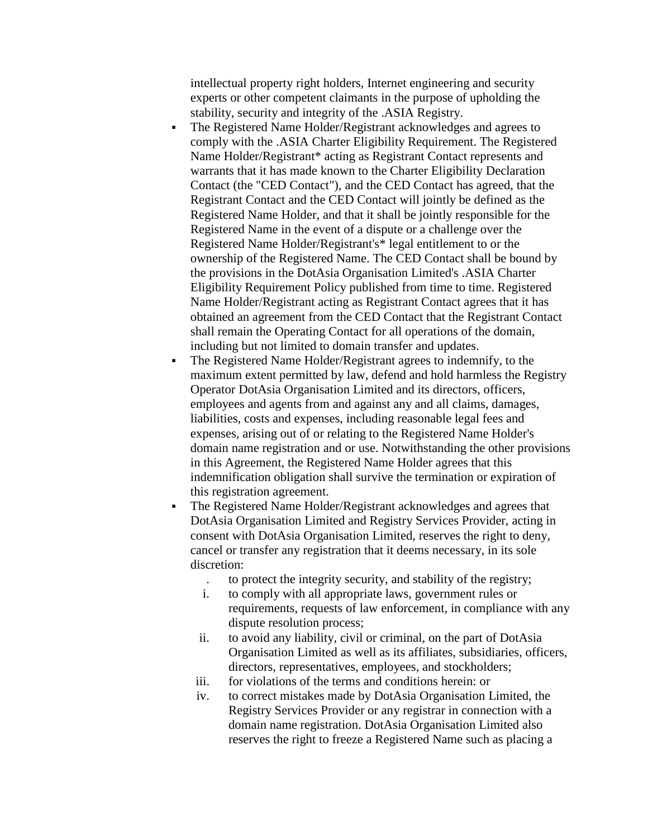intellectual property right holders, Internet engineering and security experts or other competent claimants in the purpose of upholding the stability, security and integrity of the .ASIA Registry.

- The Registered Name Holder/Registrant acknowledges and agrees to comply with the .ASIA Charter Eligibility Requirement. The Registered Name Holder/Registrant\* acting as Registrant Contact represents and warrants that it has made known to the Charter Eligibility Declaration Contact (the "CED Contact"), and the CED Contact has agreed, that the Registrant Contact and the CED Contact will jointly be defined as the Registered Name Holder, and that it shall be jointly responsible for the Registered Name in the event of a dispute or a challenge over the Registered Name Holder/Registrant's\* legal entitlement to or the ownership of the Registered Name. The CED Contact shall be bound by the provisions in the DotAsia Organisation Limited's .ASIA Charter Eligibility Requirement Policy published from time to time. Registered Name Holder/Registrant acting as Registrant Contact agrees that it has obtained an agreement from the CED Contact that the Registrant Contact shall remain the Operating Contact for all operations of the domain, including but not limited to domain transfer and updates.
- The Registered Name Holder/Registrant agrees to indemnify, to the maximum extent permitted by law, defend and hold harmless the Registry Operator DotAsia Organisation Limited and its directors, officers, employees and agents from and against any and all claims, damages, liabilities, costs and expenses, including reasonable legal fees and expenses, arising out of or relating to the Registered Name Holder's domain name registration and or use. Notwithstanding the other provisions in this Agreement, the Registered Name Holder agrees that this indemnification obligation shall survive the termination or expiration of this registration agreement.
- The Registered Name Holder/Registrant acknowledges and agrees that DotAsia Organisation Limited and Registry Services Provider, acting in consent with DotAsia Organisation Limited, reserves the right to deny, cancel or transfer any registration that it deems necessary, in its sole discretion:
	- . to protect the integrity security, and stability of the registry;
	- i. to comply with all appropriate laws, government rules or requirements, requests of law enforcement, in compliance with any dispute resolution process;
	- ii. to avoid any liability, civil or criminal, on the part of DotAsia Organisation Limited as well as its affiliates, subsidiaries, officers, directors, representatives, employees, and stockholders;
	- iii. for violations of the terms and conditions herein: or
	- iv. to correct mistakes made by DotAsia Organisation Limited, the Registry Services Provider or any registrar in connection with a domain name registration. DotAsia Organisation Limited also reserves the right to freeze a Registered Name such as placing a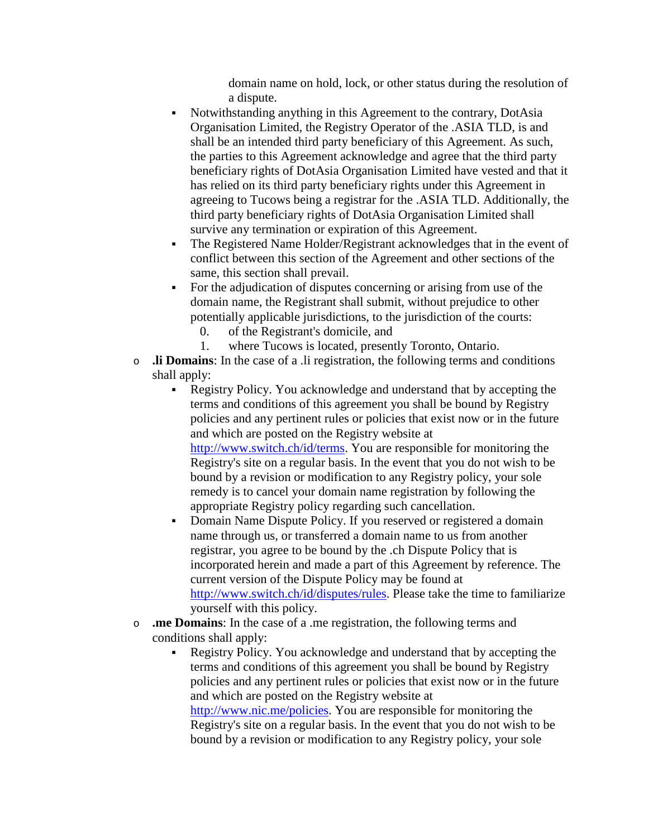domain name on hold, lock, or other status during the resolution of a dispute.

- Notwithstanding anything in this Agreement to the contrary, DotAsia Organisation Limited, the Registry Operator of the .ASIA TLD, is and shall be an intended third party beneficiary of this Agreement. As such, the parties to this Agreement acknowledge and agree that the third party beneficiary rights of DotAsia Organisation Limited have vested and that it has relied on its third party beneficiary rights under this Agreement in agreeing to Tucows being a registrar for the .ASIA TLD. Additionally, the third party beneficiary rights of DotAsia Organisation Limited shall survive any termination or expiration of this Agreement.
- The Registered Name Holder/Registrant acknowledges that in the event of conflict between this section of the Agreement and other sections of the same, this section shall prevail.
- For the adjudication of disputes concerning or arising from use of the domain name, the Registrant shall submit, without prejudice to other potentially applicable jurisdictions, to the jurisdiction of the courts:
	- 0. of the Registrant's domicile, and
	- 1. where Tucows is located, presently Toronto, Ontario.
- o **.li Domains**: In the case of a .li registration, the following terms and conditions shall apply:
	- Registry Policy. You acknowledge and understand that by accepting the terms and conditions of this agreement you shall be bound by Registry policies and any pertinent rules or policies that exist now or in the future and which are posted on the Registry website at

[http://www.switch.ch/id/terms.](http://www.switch.ch/id/terms) You are responsible for monitoring the Registry's site on a regular basis. In the event that you do not wish to be bound by a revision or modification to any Registry policy, your sole remedy is to cancel your domain name registration by following the appropriate Registry policy regarding such cancellation.

- Domain Name Dispute Policy. If you reserved or registered a domain name through us, or transferred a domain name to us from another registrar, you agree to be bound by the .ch Dispute Policy that is incorporated herein and made a part of this Agreement by reference. The current version of the Dispute Policy may be found at [http://www.switch.ch/id/disputes/rules.](http://www.switch.ch/id/disputes/rules) Please take the time to familiarize yourself with this policy.
- o **.me Domains**: In the case of a .me registration, the following terms and conditions shall apply:
	- Registry Policy. You acknowledge and understand that by accepting the terms and conditions of this agreement you shall be bound by Registry policies and any pertinent rules or policies that exist now or in the future and which are posted on the Registry website at [http://www.nic.me/policies.](http://www.nic.me/policies) You are responsible for monitoring the Registry's site on a regular basis. In the event that you do not wish to be bound by a revision or modification to any Registry policy, your sole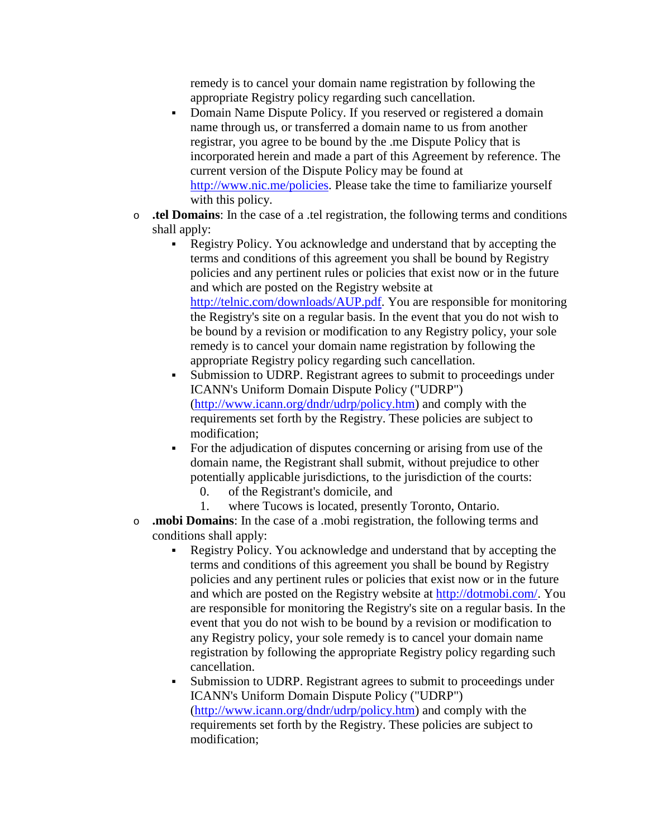remedy is to cancel your domain name registration by following the appropriate Registry policy regarding such cancellation.

- Domain Name Dispute Policy. If you reserved or registered a domain name through us, or transferred a domain name to us from another registrar, you agree to be bound by the .me Dispute Policy that is incorporated herein and made a part of this Agreement by reference. The current version of the Dispute Policy may be found at [http://www.nic.me/policies.](http://www.nic.me/policies) Please take the time to familiarize yourself with this policy.
- o **.tel Domains**: In the case of a .tel registration, the following terms and conditions shall apply:
	- Registry Policy. You acknowledge and understand that by accepting the terms and conditions of this agreement you shall be bound by Registry policies and any pertinent rules or policies that exist now or in the future and which are posted on the Registry website at [http://telnic.com/downloads/AUP.pdf.](http://telnic.com/downloads/AUP.pdf) You are responsible for monitoring the Registry's site on a regular basis. In the event that you do not wish to be bound by a revision or modification to any Registry policy, your sole remedy is to cancel your domain name registration by following the appropriate Registry policy regarding such cancellation.
	- Submission to UDRP. Registrant agrees to submit to proceedings under ICANN's Uniform Domain Dispute Policy ("UDRP") [\(http://www.icann.org/dndr/udrp/policy.htm\)](http://www.icann.org/dndr/udrp/policy.htm) and comply with the requirements set forth by the Registry. These policies are subject to modification;
	- For the adjudication of disputes concerning or arising from use of the domain name, the Registrant shall submit, without prejudice to other potentially applicable jurisdictions, to the jurisdiction of the courts:
		- 0. of the Registrant's domicile, and
		- 1. where Tucows is located, presently Toronto, Ontario.
- o **.mobi Domains**: In the case of a .mobi registration, the following terms and conditions shall apply:
	- Registry Policy. You acknowledge and understand that by accepting the terms and conditions of this agreement you shall be bound by Registry policies and any pertinent rules or policies that exist now or in the future and which are posted on the Registry website at [http://dotmobi.com/.](http://dotmobi.com/) You are responsible for monitoring the Registry's site on a regular basis. In the event that you do not wish to be bound by a revision or modification to any Registry policy, your sole remedy is to cancel your domain name registration by following the appropriate Registry policy regarding such cancellation.
	- Submission to UDRP. Registrant agrees to submit to proceedings under ICANN's Uniform Domain Dispute Policy ("UDRP") [\(http://www.icann.org/dndr/udrp/policy.htm\)](http://www.icann.org/dndr/udrp/policy.htm) and comply with the requirements set forth by the Registry. These policies are subject to modification;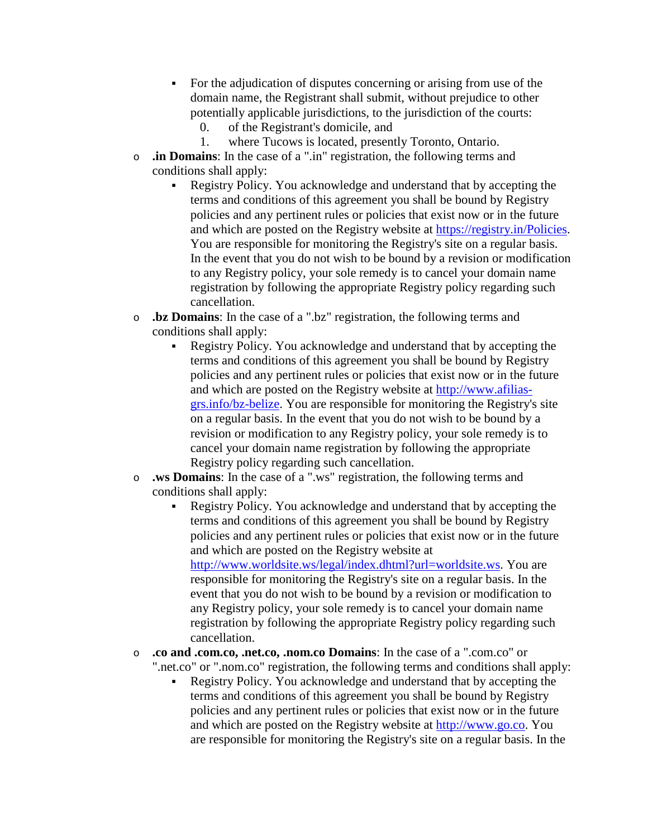- For the adjudication of disputes concerning or arising from use of the domain name, the Registrant shall submit, without prejudice to other potentially applicable jurisdictions, to the jurisdiction of the courts:
	- 0. of the Registrant's domicile, and
	- 1. where Tucows is located, presently Toronto, Ontario.
- o **.in Domains**: In the case of a ".in" registration, the following terms and conditions shall apply:
	- Registry Policy. You acknowledge and understand that by accepting the terms and conditions of this agreement you shall be bound by Registry policies and any pertinent rules or policies that exist now or in the future and which are posted on the Registry website at [https://registry.in/Policies.](https://registry.in/Policies) You are responsible for monitoring the Registry's site on a regular basis. In the event that you do not wish to be bound by a revision or modification to any Registry policy, your sole remedy is to cancel your domain name registration by following the appropriate Registry policy regarding such cancellation.
- o **.bz Domains**: In the case of a ".bz" registration, the following terms and conditions shall apply:
	- Registry Policy. You acknowledge and understand that by accepting the terms and conditions of this agreement you shall be bound by Registry policies and any pertinent rules or policies that exist now or in the future and which are posted on the Registry website at [http://www.afilias](http://www.afilias-grs.info/bz-belize)[grs.info/bz-belize.](http://www.afilias-grs.info/bz-belize) You are responsible for monitoring the Registry's site on a regular basis. In the event that you do not wish to be bound by a revision or modification to any Registry policy, your sole remedy is to cancel your domain name registration by following the appropriate Registry policy regarding such cancellation.
- o **.ws Domains**: In the case of a ".ws" registration, the following terms and conditions shall apply:
	- Registry Policy. You acknowledge and understand that by accepting the terms and conditions of this agreement you shall be bound by Registry policies and any pertinent rules or policies that exist now or in the future and which are posted on the Registry website at [http://www.worldsite.ws/legal/index.dhtml?url=worldsite.ws.](http://www.worldsite.ws/legal/index.dhtml?url=worldsite.ws) You are responsible for monitoring the Registry's site on a regular basis. In the event that you do not wish to be bound by a revision or modification to any Registry policy, your sole remedy is to cancel your domain name registration by following the appropriate Registry policy regarding such cancellation.
- o **.co and .com.co, .net.co, .nom.co Domains**: In the case of a ".com.co" or ".net.co" or ".nom.co" registration, the following terms and conditions shall apply:
	- Registry Policy. You acknowledge and understand that by accepting the terms and conditions of this agreement you shall be bound by Registry policies and any pertinent rules or policies that exist now or in the future and which are posted on the Registry website at [http://www.go.co.](http://www.go.co/) You are responsible for monitoring the Registry's site on a regular basis. In the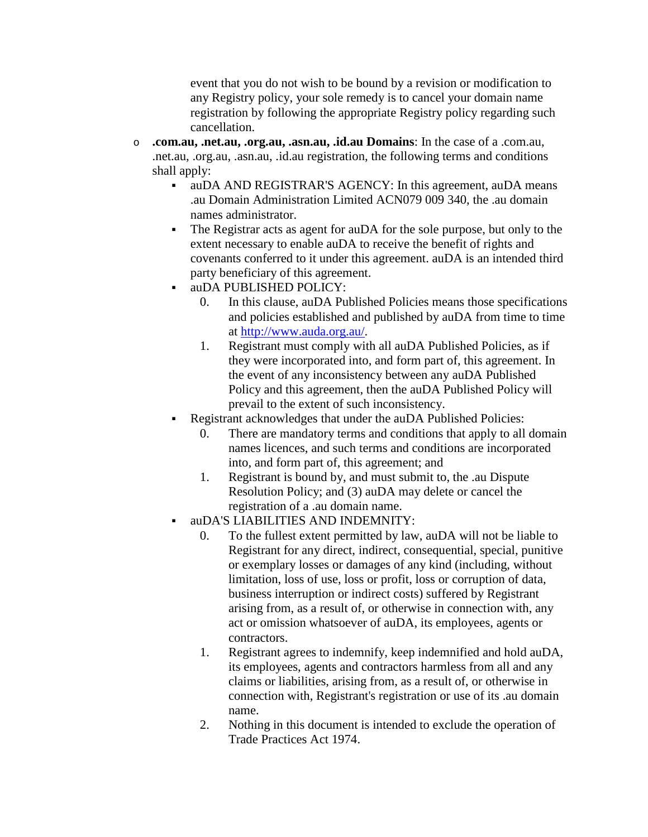event that you do not wish to be bound by a revision or modification to any Registry policy, your sole remedy is to cancel your domain name registration by following the appropriate Registry policy regarding such cancellation.

- o **.com.au, .net.au, .org.au, .asn.au, .id.au Domains**: In the case of a .com.au, .net.au, .org.au, .asn.au, .id.au registration, the following terms and conditions shall apply:
	- auDA AND REGISTRAR'S AGENCY: In this agreement, auDA means .au Domain Administration Limited ACN079 009 340, the .au domain names administrator.
	- The Registrar acts as agent for auDA for the sole purpose, but only to the extent necessary to enable auDA to receive the benefit of rights and covenants conferred to it under this agreement. auDA is an intended third party beneficiary of this agreement.
	- auDA PUBLISHED POLICY:
		- 0. In this clause, auDA Published Policies means those specifications and policies established and published by auDA from time to time at [http://www.auda.org.au/.](http://www.auda.org.au/)
		- 1. Registrant must comply with all auDA Published Policies, as if they were incorporated into, and form part of, this agreement. In the event of any inconsistency between any auDA Published Policy and this agreement, then the auDA Published Policy will prevail to the extent of such inconsistency.
	- Registrant acknowledges that under the auDA Published Policies:
		- 0. There are mandatory terms and conditions that apply to all domain names licences, and such terms and conditions are incorporated into, and form part of, this agreement; and
		- 1. Registrant is bound by, and must submit to, the .au Dispute Resolution Policy; and (3) auDA may delete or cancel the registration of a .au domain name.
	- auDA'S LIABILITIES AND INDEMNITY:
		- 0. To the fullest extent permitted by law, auDA will not be liable to Registrant for any direct, indirect, consequential, special, punitive or exemplary losses or damages of any kind (including, without limitation, loss of use, loss or profit, loss or corruption of data, business interruption or indirect costs) suffered by Registrant arising from, as a result of, or otherwise in connection with, any act or omission whatsoever of auDA, its employees, agents or contractors.
		- 1. Registrant agrees to indemnify, keep indemnified and hold auDA, its employees, agents and contractors harmless from all and any claims or liabilities, arising from, as a result of, or otherwise in connection with, Registrant's registration or use of its .au domain name.
		- 2. Nothing in this document is intended to exclude the operation of Trade Practices Act 1974.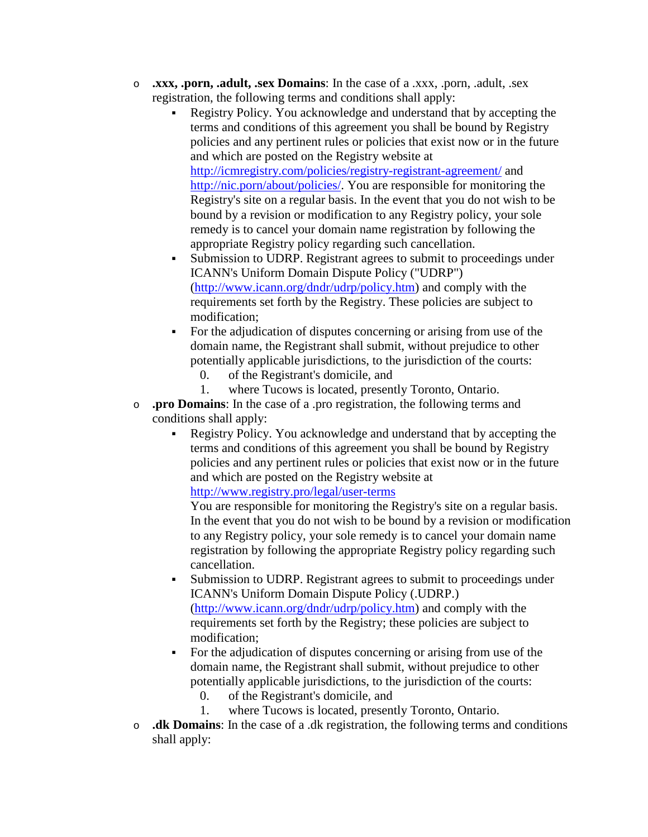- o **.xxx, .porn, .adult, .sex Domains**: In the case of a .xxx, .porn, .adult, .sex registration, the following terms and conditions shall apply:
	- Registry Policy. You acknowledge and understand that by accepting the terms and conditions of this agreement you shall be bound by Registry policies and any pertinent rules or policies that exist now or in the future and which are posted on the Registry website at <http://icmregistry.com/policies/registry-registrant-agreement/> and

[http://nic.porn/about/policies/.](http://nic.porn/about/policies/) You are responsible for monitoring the Registry's site on a regular basis. In the event that you do not wish to be bound by a revision or modification to any Registry policy, your sole remedy is to cancel your domain name registration by following the appropriate Registry policy regarding such cancellation.

- Submission to UDRP. Registrant agrees to submit to proceedings under ICANN's Uniform Domain Dispute Policy ("UDRP") [\(http://www.icann.org/dndr/udrp/policy.htm\)](http://www.icann.org/dndr/udrp/policy.htm) and comply with the requirements set forth by the Registry. These policies are subject to modification;
- For the adjudication of disputes concerning or arising from use of the domain name, the Registrant shall submit, without prejudice to other potentially applicable jurisdictions, to the jurisdiction of the courts:
	- 0. of the Registrant's domicile, and
	- 1. where Tucows is located, presently Toronto, Ontario.
- o **.pro Domains**: In the case of a .pro registration, the following terms and conditions shall apply:
	- Registry Policy. You acknowledge and understand that by accepting the terms and conditions of this agreement you shall be bound by Registry policies and any pertinent rules or policies that exist now or in the future and which are posted on the Registry website at

<http://www.registry.pro/legal/user-terms>

You are responsible for monitoring the Registry's site on a regular basis. In the event that you do not wish to be bound by a revision or modification to any Registry policy, your sole remedy is to cancel your domain name registration by following the appropriate Registry policy regarding such cancellation.

- Submission to UDRP. Registrant agrees to submit to proceedings under ICANN's Uniform Domain Dispute Policy (.UDRP.) [\(http://www.icann.org/dndr/udrp/policy.htm\)](http://www.icann.org/dndr/udrp/policy.htm) and comply with the requirements set forth by the Registry; these policies are subject to modification;
- For the adjudication of disputes concerning or arising from use of the domain name, the Registrant shall submit, without prejudice to other potentially applicable jurisdictions, to the jurisdiction of the courts:
	- 0. of the Registrant's domicile, and
	- 1. where Tucows is located, presently Toronto, Ontario.
- o **.dk Domains**: In the case of a .dk registration, the following terms and conditions shall apply: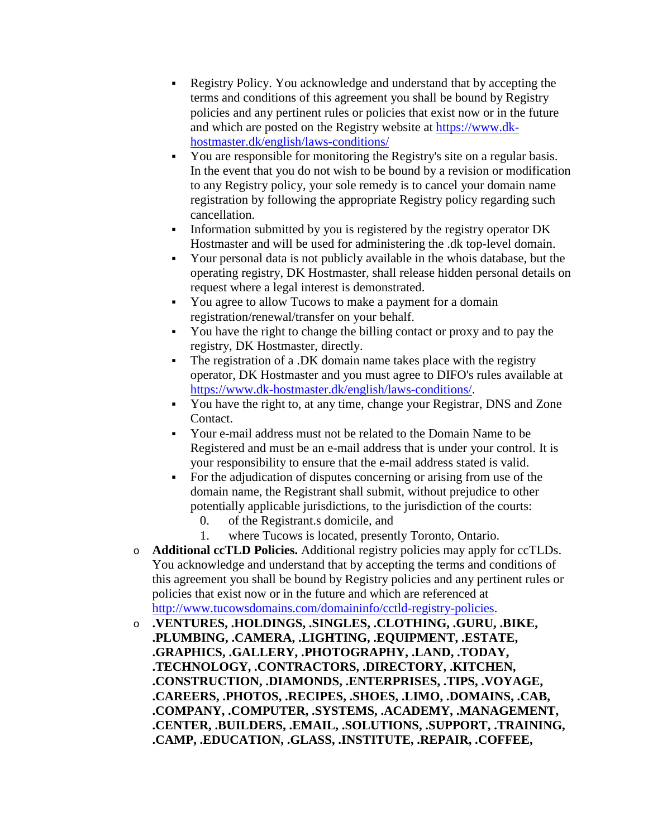- Registry Policy. You acknowledge and understand that by accepting the terms and conditions of this agreement you shall be bound by Registry policies and any pertinent rules or policies that exist now or in the future and which are posted on the Registry website at [https://www.dk](https://www.dk-hostmaster.dk/english/laws-conditions/)[hostmaster.dk/english/laws-conditions/](https://www.dk-hostmaster.dk/english/laws-conditions/)
- You are responsible for monitoring the Registry's site on a regular basis. In the event that you do not wish to be bound by a revision or modification to any Registry policy, your sole remedy is to cancel your domain name registration by following the appropriate Registry policy regarding such cancellation.
- Information submitted by you is registered by the registry operator DK Hostmaster and will be used for administering the .dk top-level domain.
- Your personal data is not publicly available in the whois database, but the operating registry, DK Hostmaster, shall release hidden personal details on request where a legal interest is demonstrated.
- You agree to allow Tucows to make a payment for a domain registration/renewal/transfer on your behalf.
- You have the right to change the billing contact or proxy and to pay the registry, DK Hostmaster, directly.
- The registration of a .DK domain name takes place with the registry operator, DK Hostmaster and you must agree to DIFO's rules available at [https://www.dk-hostmaster.dk/english/laws-conditions/.](https://www.dk-hostmaster.dk/english/laws-conditions/)
- You have the right to, at any time, change your Registrar, DNS and Zone Contact.
- Your e-mail address must not be related to the Domain Name to be Registered and must be an e-mail address that is under your control. It is your responsibility to ensure that the e-mail address stated is valid.
- For the adjudication of disputes concerning or arising from use of the domain name, the Registrant shall submit, without prejudice to other potentially applicable jurisdictions, to the jurisdiction of the courts:
	- 0. of the Registrant.s domicile, and
	- 1. where Tucows is located, presently Toronto, Ontario.
- o **Additional ccTLD Policies.** Additional registry policies may apply for ccTLDs. You acknowledge and understand that by accepting the terms and conditions of this agreement you shall be bound by Registry policies and any pertinent rules or policies that exist now or in the future and which are referenced at [http://www.tucowsdomains.com/domaininfo/cctld-registry-policies.](http://www.tucowsdomains.com/domaininfo/cctld-registry-policies)
- o **.VENTURES, .HOLDINGS, .SINGLES, .CLOTHING, .GURU, .BIKE, .PLUMBING, .CAMERA, .LIGHTING, .EQUIPMENT, .ESTATE, .GRAPHICS, .GALLERY, .PHOTOGRAPHY, .LAND, .TODAY, .TECHNOLOGY, .CONTRACTORS, .DIRECTORY, .KITCHEN, .CONSTRUCTION, .DIAMONDS, .ENTERPRISES, .TIPS, .VOYAGE, .CAREERS, .PHOTOS, .RECIPES, .SHOES, .LIMO, .DOMAINS, .CAB, .COMPANY, .COMPUTER, .SYSTEMS, .ACADEMY, .MANAGEMENT, .CENTER, .BUILDERS, .EMAIL, .SOLUTIONS, .SUPPORT, .TRAINING, .CAMP, .EDUCATION, .GLASS, .INSTITUTE, .REPAIR, .COFFEE,**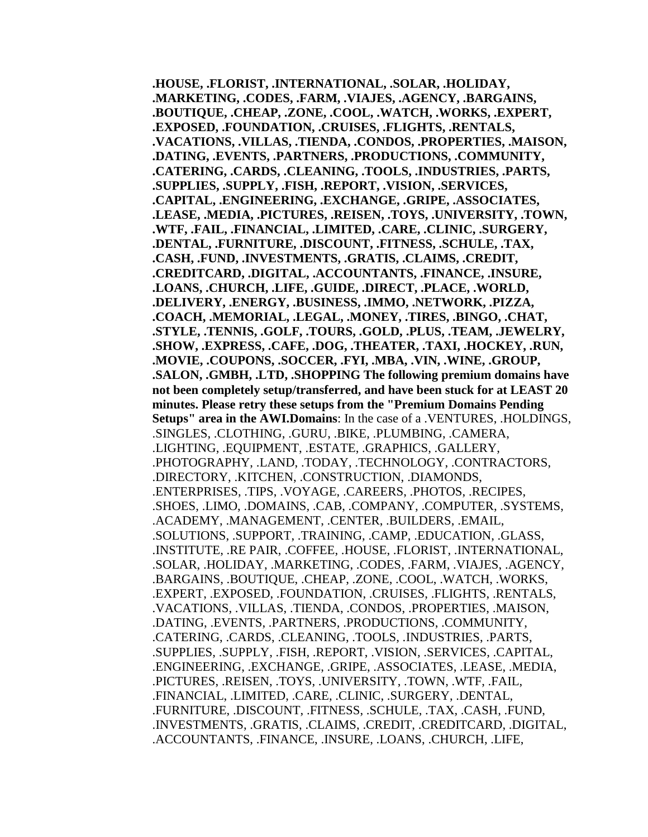**.HOUSE, .FLORIST, .INTERNATIONAL, .SOLAR, .HOLIDAY, .MARKETING, .CODES, .FARM, .VIAJES, .AGENCY, .BARGAINS, .BOUTIQUE, .CHEAP, .ZONE, .COOL, .WATCH, .WORKS, .EXPERT, .EXPOSED, .FOUNDATION, .CRUISES, .FLIGHTS, .RENTALS, .VACATIONS, .VILLAS, .TIENDA, .CONDOS, .PROPERTIES, .MAISON, .DATING, .EVENTS, .PARTNERS, .PRODUCTIONS, .COMMUNITY, .CATERING, .CARDS, .CLEANING, .TOOLS, .INDUSTRIES, .PARTS, .SUPPLIES, .SUPPLY, .FISH, .REPORT, .VISION, .SERVICES, .CAPITAL, .ENGINEERING, .EXCHANGE, .GRIPE, .ASSOCIATES, .LEASE, .MEDIA, .PICTURES, .REISEN, .TOYS, .UNIVERSITY, .TOWN, .WTF, .FAIL, .FINANCIAL, .LIMITED, .CARE, .CLINIC, .SURGERY, .DENTAL, .FURNITURE, .DISCOUNT, .FITNESS, .SCHULE, .TAX, .CASH, .FUND, .INVESTMENTS, .GRATIS, .CLAIMS, .CREDIT, .CREDITCARD, .DIGITAL, .ACCOUNTANTS, .FINANCE, .INSURE, .LOANS, .CHURCH, .LIFE, .GUIDE, .DIRECT, .PLACE, .WORLD, .DELIVERY, .ENERGY, .BUSINESS, .IMMO, .NETWORK, .PIZZA, .COACH, .MEMORIAL, .LEGAL, .MONEY, .TIRES, .BINGO, .CHAT, .STYLE, .TENNIS, .GOLF, .TOURS, .GOLD, .PLUS, .TEAM, .JEWELRY, .SHOW, .EXPRESS, .CAFE, .DOG, .THEATER, .TAXI, .HOCKEY, .RUN, .MOVIE, .COUPONS, .SOCCER, .FYI, .MBA, .VIN, .WINE, .GROUP, .SALON, .GMBH, .LTD, .SHOPPING The following premium domains have not been completely setup/transferred, and have been stuck for at LEAST 20 minutes. Please retry these setups from the "Premium Domains Pending Setups" area in the AWI.Domains**: In the case of a .VENTURES, .HOLDINGS, .SINGLES, .CLOTHING, .GURU, .BIKE, .PLUMBING, .CAMERA, .LIGHTING, .EQUIPMENT, .ESTATE, .GRAPHICS, .GALLERY, .PHOTOGRAPHY, .LAND, .TODAY, .TECHNOLOGY, .CONTRACTORS, .DIRECTORY, .KITCHEN, .CONSTRUCTION, .DIAMONDS, .ENTERPRISES, .TIPS, .VOYAGE, .CAREERS, .PHOTOS, .RECIPES, .SHOES, .LIMO, .DOMAINS, .CAB, .COMPANY, .COMPUTER, .SYSTEMS, .ACADEMY, .MANAGEMENT, .CENTER, .BUILDERS, .EMAIL, .SOLUTIONS, .SUPPORT, .TRAINING, .CAMP, .EDUCATION, .GLASS, .INSTITUTE, .RE PAIR, .COFFEE, .HOUSE, .FLORIST, .INTERNATIONAL, .SOLAR, .HOLIDAY, .MARKETING, .CODES, .FARM, .VIAJES, .AGENCY, .BARGAINS, .BOUTIQUE, .CHEAP, .ZONE, .COOL, .WATCH, .WORKS, .EXPERT, .EXPOSED, .FOUNDATION, .CRUISES, .FLIGHTS, .RENTALS, .VACATIONS, .VILLAS, .TIENDA, .CONDOS, .PROPERTIES, .MAISON, .DATING, .EVENTS, .PARTNERS, .PRODUCTIONS, .COMMUNITY, .CATERING, .CARDS, .CLEANING, .TOOLS, .INDUSTRIES, .PARTS, .SUPPLIES, .SUPPLY, .FISH, .REPORT, .VISION, .SERVICES, .CAPITAL, .ENGINEERING, .EXCHANGE, .GRIPE, .ASSOCIATES, .LEASE, .MEDIA, .PICTURES, .REISEN, .TOYS, .UNIVERSITY, .TOWN, .WTF, .FAIL, .FINANCIAL, .LIMITED, .CARE, .CLINIC, .SURGERY, .DENTAL, .FURNITURE, .DISCOUNT, .FITNESS, .SCHULE, .TAX, .CASH, .FUND, .INVESTMENTS, .GRATIS, .CLAIMS, .CREDIT, .CREDITCARD, .DIGITAL, .ACCOUNTANTS, .FINANCE, .INSURE, .LOANS, .CHURCH, .LIFE,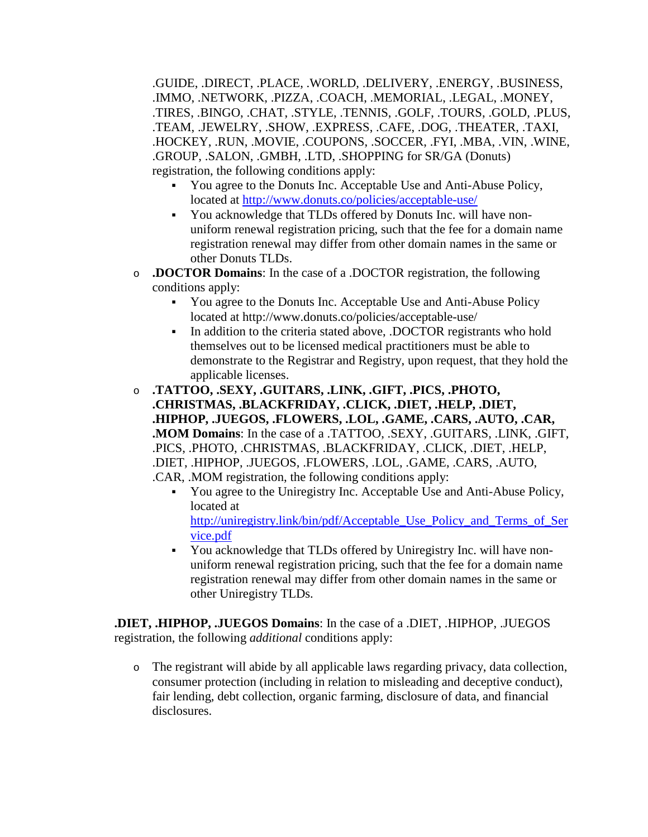.GUIDE, .DIRECT, .PLACE, .WORLD, .DELIVERY, .ENERGY, .BUSINESS, .IMMO, .NETWORK, .PIZZA, .COACH, .MEMORIAL, .LEGAL, .MONEY, .TIRES, .BINGO, .CHAT, .STYLE, .TENNIS, .GOLF, .TOURS, .GOLD, .PLUS, .TEAM, .JEWELRY, .SHOW, .EXPRESS, .CAFE, .DOG, .THEATER, .TAXI, .HOCKEY, .RUN, .MOVIE, .COUPONS, .SOCCER, .FYI, .MBA, .VIN, .WINE, .GROUP, .SALON, .GMBH, .LTD, .SHOPPING for SR/GA (Donuts) registration, the following conditions apply:

- You agree to the Donuts Inc. Acceptable Use and Anti-Abuse Policy, located at<http://www.donuts.co/policies/acceptable-use/>
- You acknowledge that TLDs offered by Donuts Inc. will have nonuniform renewal registration pricing, such that the fee for a domain name registration renewal may differ from other domain names in the same or other Donuts TLDs.
- o **.DOCTOR Domains**: In the case of a .DOCTOR registration, the following conditions apply:
	- You agree to the Donuts Inc. Acceptable Use and Anti-Abuse Policy located at http://www.donuts.co/policies/acceptable-use/
	- In addition to the criteria stated above, .DOCTOR registrants who hold themselves out to be licensed medical practitioners must be able to demonstrate to the Registrar and Registry, upon request, that they hold the applicable licenses.
- o **.TATTOO, .SEXY, .GUITARS, .LINK, .GIFT, .PICS, .PHOTO, .CHRISTMAS, .BLACKFRIDAY, .CLICK, .DIET, .HELP, .DIET, .HIPHOP, .JUEGOS, .FLOWERS, .LOL, .GAME, .CARS, .AUTO, .CAR, .MOM Domains**: In the case of a .TATTOO, .SEXY, .GUITARS, .LINK, .GIFT, .PICS, .PHOTO, .CHRISTMAS, .BLACKFRIDAY, .CLICK, .DIET, .HELP, .DIET, .HIPHOP, .JUEGOS, .FLOWERS, .LOL, .GAME, .CARS, .AUTO, .CAR, .MOM registration, the following conditions apply:
	- You agree to the Uniregistry Inc. Acceptable Use and Anti-Abuse Policy, located at [http://uniregistry.link/bin/pdf/Acceptable\\_Use\\_Policy\\_and\\_Terms\\_of\\_Ser](http://uniregistry.link/bin/pdf/Acceptable_Use_Policy_and_Terms_of_Service.pdf) [vice.pdf](http://uniregistry.link/bin/pdf/Acceptable_Use_Policy_and_Terms_of_Service.pdf)
	- You acknowledge that TLDs offered by Uniregistry Inc. will have nonuniform renewal registration pricing, such that the fee for a domain name registration renewal may differ from other domain names in the same or other Uniregistry TLDs.

**.DIET, .HIPHOP, .JUEGOS Domains**: In the case of a .DIET, .HIPHOP, .JUEGOS registration, the following *additional* conditions apply:

o The registrant will abide by all applicable laws regarding privacy, data collection, consumer protection (including in relation to misleading and deceptive conduct), fair lending, debt collection, organic farming, disclosure of data, and financial disclosures.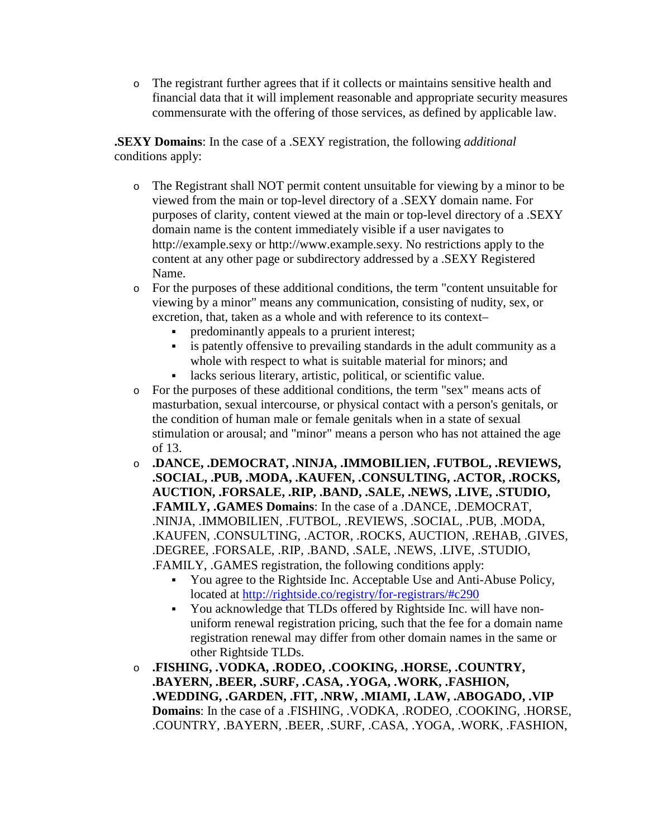o The registrant further agrees that if it collects or maintains sensitive health and financial data that it will implement reasonable and appropriate security measures commensurate with the offering of those services, as defined by applicable law.

**.SEXY Domains**: In the case of a .SEXY registration, the following *additional* conditions apply:

- o The Registrant shall NOT permit content unsuitable for viewing by a minor to be viewed from the main or top-level directory of a .SEXY domain name. For purposes of clarity, content viewed at the main or top-level directory of a .SEXY domain name is the content immediately visible if a user navigates to http://example.sexy or http://www.example.sexy. No restrictions apply to the content at any other page or subdirectory addressed by a .SEXY Registered Name.
- o For the purposes of these additional conditions, the term "content unsuitable for viewing by a minor" means any communication, consisting of nudity, sex, or excretion, that, taken as a whole and with reference to its context–
	- predominantly appeals to a prurient interest;
	- is patently offensive to prevailing standards in the adult community as a whole with respect to what is suitable material for minors; and
	- lacks serious literary, artistic, political, or scientific value.
- o For the purposes of these additional conditions, the term "sex" means acts of masturbation, sexual intercourse, or physical contact with a person's genitals, or the condition of human male or female genitals when in a state of sexual stimulation or arousal; and "minor" means a person who has not attained the age of 13.
- o **.DANCE, .DEMOCRAT, .NINJA, .IMMOBILIEN, .FUTBOL, .REVIEWS, .SOCIAL, .PUB, .MODA, .KAUFEN, .CONSULTING, .ACTOR, .ROCKS, AUCTION, .FORSALE, .RIP, .BAND, .SALE, .NEWS, .LIVE, .STUDIO, .FAMILY, .GAMES Domains**: In the case of a .DANCE, .DEMOCRAT, .NINJA, .IMMOBILIEN, .FUTBOL, .REVIEWS, .SOCIAL, .PUB, .MODA, .KAUFEN, .CONSULTING, .ACTOR, .ROCKS, AUCTION, .REHAB, .GIVES, .DEGREE, .FORSALE, .RIP, .BAND, .SALE, .NEWS, .LIVE, .STUDIO, .FAMILY, .GAMES registration, the following conditions apply:
	- You agree to the Rightside Inc. Acceptable Use and Anti-Abuse Policy, located at<http://rightside.co/registry/for-registrars/#c290>
	- You acknowledge that TLDs offered by Rightside Inc. will have nonuniform renewal registration pricing, such that the fee for a domain name registration renewal may differ from other domain names in the same or other Rightside TLDs.
- o **.FISHING, .VODKA, .RODEO, .COOKING, .HORSE, .COUNTRY, .BAYERN, .BEER, .SURF, .CASA, .YOGA, .WORK, .FASHION, .WEDDING, .GARDEN, .FIT, .NRW, .MIAMI, .LAW, .ABOGADO, .VIP Domains**: In the case of a .FISHING, .VODKA, .RODEO, .COOKING, .HORSE, .COUNTRY, .BAYERN, .BEER, .SURF, .CASA, .YOGA, .WORK, .FASHION,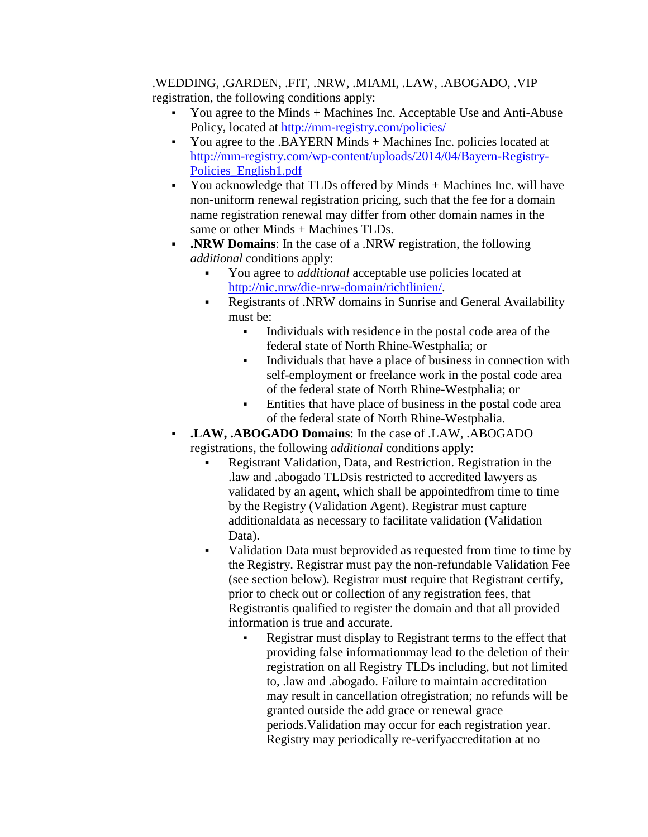#### .WEDDING, .GARDEN, .FIT, .NRW, .MIAMI, .LAW, .ABOGADO, .VIP registration, the following conditions apply:

- You agree to the Minds + Machines Inc. Acceptable Use and Anti-Abuse Policy, located at<http://mm-registry.com/policies/>
- You agree to the .BAYERN Minds + Machines Inc. policies located at [http://mm-registry.com/wp-content/uploads/2014/04/Bayern-Registry-](http://mm-registry.com/wp-content/uploads/2014/04/Bayern-Registry-Policies_English1.pdf)[Policies\\_English1.pdf](http://mm-registry.com/wp-content/uploads/2014/04/Bayern-Registry-Policies_English1.pdf)
- You acknowledge that TLDs offered by Minds + Machines Inc. will have non-uniform renewal registration pricing, such that the fee for a domain name registration renewal may differ from other domain names in the same or other Minds + Machines TLDs.
- **.NRW Domains**: In the case of a .NRW registration, the following *additional* conditions apply:
	- You agree to *additional* acceptable use policies located at [http://nic.nrw/die-nrw-domain/richtlinien/.](http://nic.nrw/die-nrw-domain/richtlinien/)
	- Registrants of .NRW domains in Sunrise and General Availability must be:
		- Individuals with residence in the postal code area of the federal state of North Rhine-Westphalia; or
		- Individuals that have a place of business in connection with self-employment or freelance work in the postal code area of the federal state of North Rhine-Westphalia; or
		- Entities that have place of business in the postal code area of the federal state of North Rhine-Westphalia.
- **.LAW, .ABOGADO Domains**: In the case of .LAW, .ABOGADO registrations, the following *additional* conditions apply:
	- Registrant Validation, Data, and Restriction. Registration in the .law and .abogado TLDsis restricted to accredited lawyers as validated by an agent, which shall be appointedfrom time to time by the Registry (Validation Agent). Registrar must capture additionaldata as necessary to facilitate validation (Validation Data).
	- Validation Data must beprovided as requested from time to time by the Registry. Registrar must pay the non-refundable Validation Fee (see section below). Registrar must require that Registrant certify, prior to check out or collection of any registration fees, that Registrantis qualified to register the domain and that all provided information is true and accurate.
		- Registrar must display to Registrant terms to the effect that providing false informationmay lead to the deletion of their registration on all Registry TLDs including, but not limited to, .law and .abogado. Failure to maintain accreditation may result in cancellation ofregistration; no refunds will be granted outside the add grace or renewal grace periods.Validation may occur for each registration year. Registry may periodically re-verifyaccreditation at no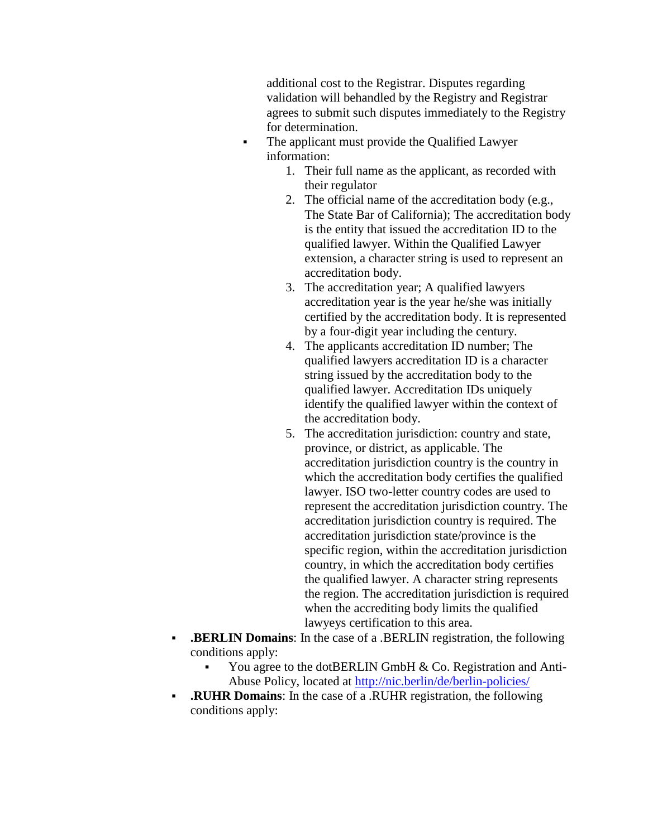additional cost to the Registrar. Disputes regarding validation will behandled by the Registry and Registrar agrees to submit such disputes immediately to the Registry for determination.

- The applicant must provide the Qualified Lawyer information:
	- 1. Their full name as the applicant, as recorded with their regulator
	- 2. The official name of the accreditation body (e.g., The State Bar of California); The accreditation body is the entity that issued the accreditation ID to the qualified lawyer. Within the Qualified Lawyer extension, a character string is used to represent an accreditation body.
	- 3. The accreditation year; A qualified lawyers accreditation year is the year he/she was initially certified by the accreditation body. It is represented by a four-digit year including the century.
	- 4. The applicants accreditation ID number; The qualified lawyers accreditation ID is a character string issued by the accreditation body to the qualified lawyer. Accreditation IDs uniquely identify the qualified lawyer within the context of the accreditation body.
	- 5. The accreditation jurisdiction: country and state, province, or district, as applicable. The accreditation jurisdiction country is the country in which the accreditation body certifies the qualified lawyer. ISO two-letter country codes are used to represent the accreditation jurisdiction country. The accreditation jurisdiction country is required. The accreditation jurisdiction state/province is the specific region, within the accreditation jurisdiction country, in which the accreditation body certifies the qualified lawyer. A character string represents the region. The accreditation jurisdiction is required when the accrediting body limits the qualified lawyeys certification to this area.
- **.BERLIN Domains**: In the case of a .BERLIN registration, the following conditions apply:
	- You agree to the dotBERLIN GmbH & Co. Registration and AntiAbuse Policy, located at<http://nic.berlin/de/berlin-policies/>
- **.RUHR Domains**: In the case of a .RUHR registration, the following conditions apply: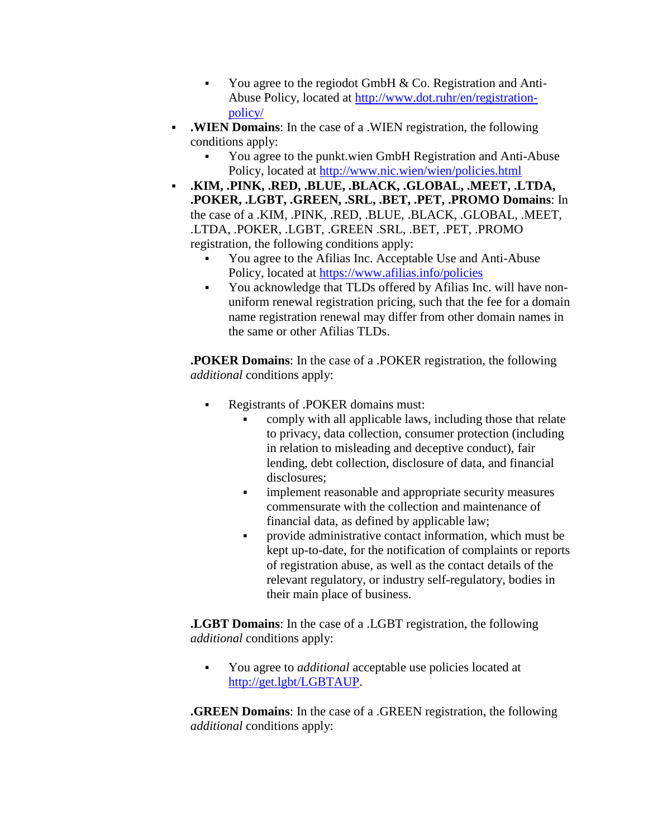- You agree to the regiodot GmbH  $&$  Co. Registration and Anti-Abuse Policy, located at [http://www.dot.ruhr/en/registration](http://www.dot.ruhr/en/registration-policy/)[policy/](http://www.dot.ruhr/en/registration-policy/)
- **.WIEN Domains**: In the case of a .WIEN registration, the following conditions apply:
	- You agree to the punkt.wien GmbH Registration and Anti-Abuse Policy, located at<http://www.nic.wien/wien/policies.html>
- **.KIM, .PINK, .RED, .BLUE, .BLACK, .GLOBAL, .MEET, .LTDA, .POKER, .LGBT, .GREEN, .SRL, .BET, .PET, .PROMO Domains**: In the case of a .KIM, .PINK, .RED, .BLUE, .BLACK, .GLOBAL, .MEET, .LTDA, .POKER, .LGBT, .GREEN .SRL, .BET, .PET, .PROMO registration, the following conditions apply:
	- You agree to the Afilias Inc. Acceptable Use and Anti-Abuse Policy, located at<https://www.afilias.info/policies>
	- You acknowledge that TLDs offered by Afilias Inc. will have nonuniform renewal registration pricing, such that the fee for a domain name registration renewal may differ from other domain names in the same or other Afilias TLDs.

**.POKER Domains**: In the case of a .POKER registration, the following *additional* conditions apply:

- Registrants of .POKER domains must:
	- comply with all applicable laws, including those that relate to privacy, data collection, consumer protection (including in relation to misleading and deceptive conduct), fair lending, debt collection, disclosure of data, and financial disclosures;
	- **implement reasonable and appropriate security measures** commensurate with the collection and maintenance of financial data, as defined by applicable law;
	- provide administrative contact information, which must be kept up-to-date, for the notification of complaints or reports of registration abuse, as well as the contact details of the relevant regulatory, or industry self-regulatory, bodies in their main place of business.

**.LGBT Domains**: In the case of a .LGBT registration, the following *additional* conditions apply:

 You agree to *additional* acceptable use policies located at [http://get.lgbt/LGBTAUP.](http://get.lgbt/LGBTAUP)

**.GREEN Domains**: In the case of a .GREEN registration, the following *additional* conditions apply: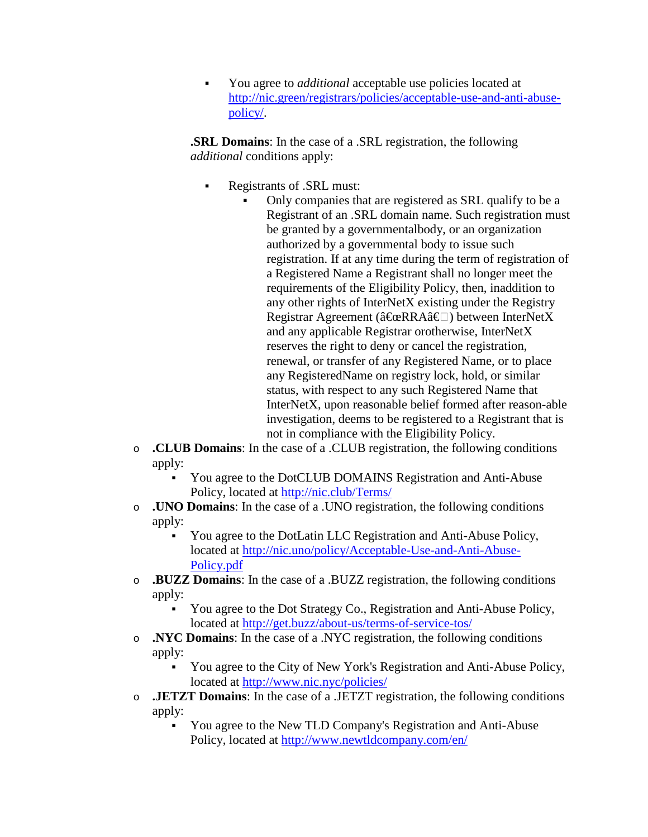You agree to *additional* acceptable use policies located at [http://nic.green/registrars/policies/acceptable-use-and-anti-abuse](http://nic.green/registrars/policies/acceptable-use-and-anti-abuse-policy/)[policy/.](http://nic.green/registrars/policies/acceptable-use-and-anti-abuse-policy/)

**.SRL Domains**: In the case of a .SRL registration, the following *additional* conditions apply:

- Registrants of .SRL must:
	- Only companies that are registered as SRL qualify to be a Registrant of an .SRL domain name. Such registration must be granted by a governmentalbody, or an organization authorized by a governmental body to issue such registration. If at any time during the term of registration of a Registered Name a Registrant shall no longer meet the requirements of the Eligibility Policy, then, inaddition to any other rights of InterNetX existing under the Registry Registrar Agreement ( $\hat{a} \in \mathbb{R}$ RA $\hat{a} \in \Box$ ) between InterNetX and any applicable Registrar orotherwise, InterNetX reserves the right to deny or cancel the registration, renewal, or transfer of any Registered Name, or to place any RegisteredName on registry lock, hold, or similar status, with respect to any such Registered Name that InterNetX, upon reasonable belief formed after reason-able investigation, deems to be registered to a Registrant that is not in compliance with the Eligibility Policy.
- o **.CLUB Domains**: In the case of a .CLUB registration, the following conditions apply:
	- You agree to the DotCLUB DOMAINS Registration and Anti-Abuse Policy, located at<http://nic.club/Terms/>
- o **.UNO Domains**: In the case of a .UNO registration, the following conditions apply:
	- You agree to the DotLatin LLC Registration and Anti-Abuse Policy, located at [http://nic.uno/policy/Acceptable-Use-and-Anti-Abuse-](http://nic.uno/policy/Acceptable-Use-and-Anti-Abuse-Policy.pdf)[Policy.pdf](http://nic.uno/policy/Acceptable-Use-and-Anti-Abuse-Policy.pdf)
- o **.BUZZ Domains**: In the case of a .BUZZ registration, the following conditions apply:
	- You agree to the Dot Strategy Co., Registration and Anti-Abuse Policy, located at<http://get.buzz/about-us/terms-of-service-tos/>
- o **.NYC Domains**: In the case of a .NYC registration, the following conditions apply:
	- You agree to the City of New York's Registration and Anti-Abuse Policy, located at<http://www.nic.nyc/policies/>
- o **.JETZT Domains**: In the case of a .JETZT registration, the following conditions apply:
	- You agree to the New TLD Company's Registration and Anti-Abuse Policy, located at<http://www.newtldcompany.com/en/>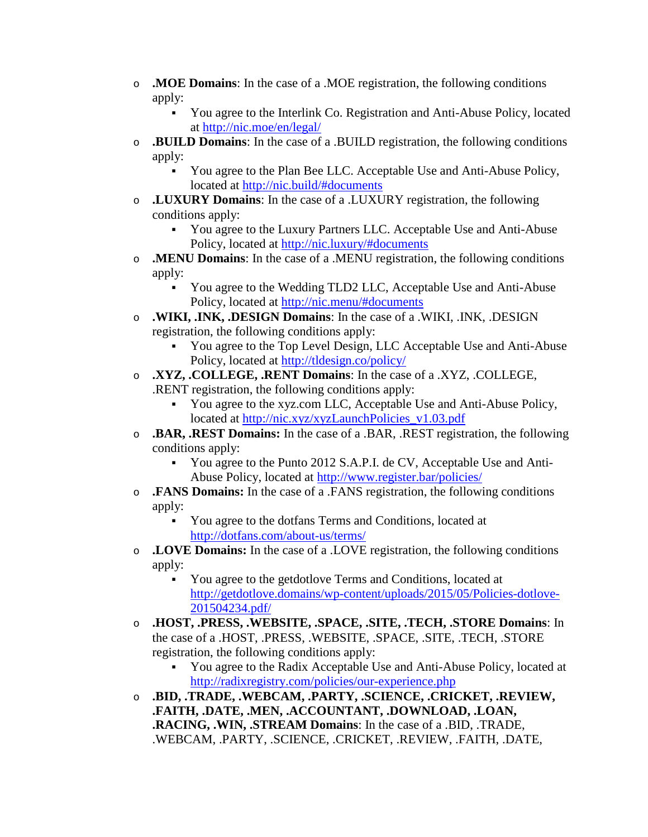- o **.MOE Domains**: In the case of a .MOE registration, the following conditions apply:
	- You agree to the Interlink Co. Registration and Anti-Abuse Policy, located at<http://nic.moe/en/legal/>
- o **.BUILD Domains**: In the case of a .BUILD registration, the following conditions apply:
	- You agree to the Plan Bee LLC. Acceptable Use and Anti-Abuse Policy, located at<http://nic.build/#documents>
- o **.LUXURY Domains**: In the case of a .LUXURY registration, the following conditions apply:
	- You agree to the Luxury Partners LLC. Acceptable Use and Anti-Abuse Policy, located at<http://nic.luxury/#documents>
- o **.MENU Domains**: In the case of a .MENU registration, the following conditions apply:
	- You agree to the Wedding TLD2 LLC, Acceptable Use and Anti-Abuse Policy, located at<http://nic.menu/#documents>
- o **.WIKI, .INK, .DESIGN Domains**: In the case of a .WIKI, .INK, .DESIGN registration, the following conditions apply:
	- You agree to the Top Level Design, LLC Acceptable Use and Anti-Abuse Policy, located at<http://tldesign.co/policy/>
- o **.XYZ, .COLLEGE, .RENT Domains**: In the case of a .XYZ, .COLLEGE, .RENT registration, the following conditions apply:
	- You agree to the xyz.com LLC, Acceptable Use and Anti-Abuse Policy, located at [http://nic.xyz/xyzLaunchPolicies\\_v1.03.pdf](http://nic.xyz/xyzLaunchPolicies_v1.03.pdf)
- o **.BAR, .REST Domains:** In the case of a .BAR, .REST registration, the following conditions apply:
	- You agree to the Punto 2012 S.A.P.I. de CV, Acceptable Use and Anti-Abuse Policy, located at<http://www.register.bar/policies/>
- o **.FANS Domains:** In the case of a .FANS registration, the following conditions apply:
	- You agree to the dotfans Terms and Conditions, located at <http://dotfans.com/about-us/terms/>
- o **.LOVE Domains:** In the case of a .LOVE registration, the following conditions apply:
	- You agree to the getdotlove Terms and Conditions, located at [http://getdotlove.domains/wp-content/uploads/2015/05/Policies-dotlove-](http://getdotlove.domains/wp-content/uploads/2015/05/Policies-dotlove-201504234.pdf)[201504234.pdf/](http://getdotlove.domains/wp-content/uploads/2015/05/Policies-dotlove-201504234.pdf)
- o **.HOST, .PRESS, .WEBSITE, .SPACE, .SITE, .TECH, .STORE Domains**: In the case of a .HOST, .PRESS, .WEBSITE, .SPACE, .SITE, .TECH, .STORE registration, the following conditions apply:
	- You agree to the Radix Acceptable Use and Anti-Abuse Policy, located at <http://radixregistry.com/policies/our-experience.php>
- o **.BID, .TRADE, .WEBCAM, .PARTY, .SCIENCE, .CRICKET, .REVIEW, .FAITH, .DATE, .MEN, .ACCOUNTANT, .DOWNLOAD, .LOAN, .RACING, .WIN, .STREAM Domains**: In the case of a .BID, .TRADE, .WEBCAM, .PARTY, .SCIENCE, .CRICKET, .REVIEW, .FAITH, .DATE,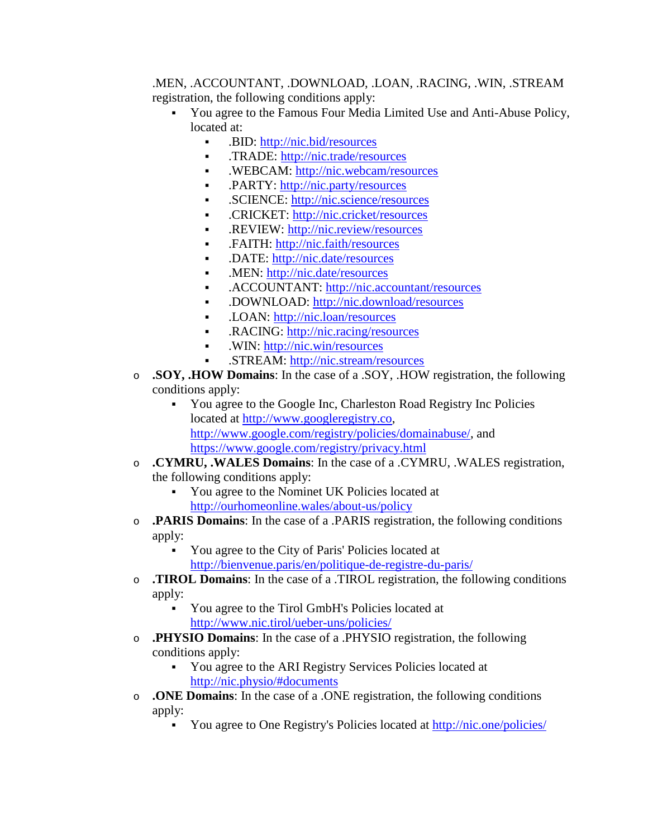#### .MEN, .ACCOUNTANT, .DOWNLOAD, .LOAN, .RACING, .WIN, .STREAM registration, the following conditions apply:

- You agree to the Famous Four Media Limited Use and Anti-Abuse Policy, located at:
	- BID:<http://nic.bid/resources>
	- .TRADE:<http://nic.trade/resources>
	- **.** .WEBCAM:<http://nic.webcam/resources>
	- PARTY:<http://nic.party/resources>
	- **.** SCIENCE:<http://nic.science/resources>
	- **.** CRICKET:<http://nic.cricket/resources>
	- .REVIEW:<http://nic.review/resources>
	- .FAITH:<http://nic.faith/resources>
	- .DATE:<http://nic.date/resources>
	- .MEN: [http://nic.date/resources](http://nic.men/resources)
	- .ACCOUNTANT:<http://nic.accountant/resources>
	- .DOWNLOAD:<http://nic.download/resources>
	- .LOAN:<http://nic.loan/resources>
	- RACING:<http://nic.racing/resources>
	- .WIN:<http://nic.win/resources>
	- .STREAM:<http://nic.stream/resources>
- o **.SOY, .HOW Domains**: In the case of a .SOY, .HOW registration, the following conditions apply:
	- You agree to the Google Inc, Charleston Road Registry Inc Policies located at [http://www.googleregistry.co,](http://www.googleregistry.co/) [http://www.google.com/registry/policies/domainabuse/,](http://www.google.com/registry/policies/domainabuse/) and <https://www.google.com/registry/privacy.html>
- o **.CYMRU, .WALES Domains**: In the case of a .CYMRU, .WALES registration, the following conditions apply:
	- You agree to the Nominet UK Policies located at <http://ourhomeonline.wales/about-us/policy>
- o **.PARIS Domains**: In the case of a .PARIS registration, the following conditions apply:
	- You agree to the City of Paris' Policies located at <http://bienvenue.paris/en/politique-de-registre-du-paris/>
- o **.TIROL Domains**: In the case of a .TIROL registration, the following conditions apply:
	- You agree to the Tirol GmbH's Policies located at <http://www.nic.tirol/ueber-uns/policies/>
- o **.PHYSIO Domains**: In the case of a .PHYSIO registration, the following conditions apply:
	- You agree to the ARI Registry Services Policies located at <http://nic.physio/#documents>
- o **.ONE Domains**: In the case of a .ONE registration, the following conditions apply:
	- You agree to One Registry's Policies located at<http://nic.one/policies/>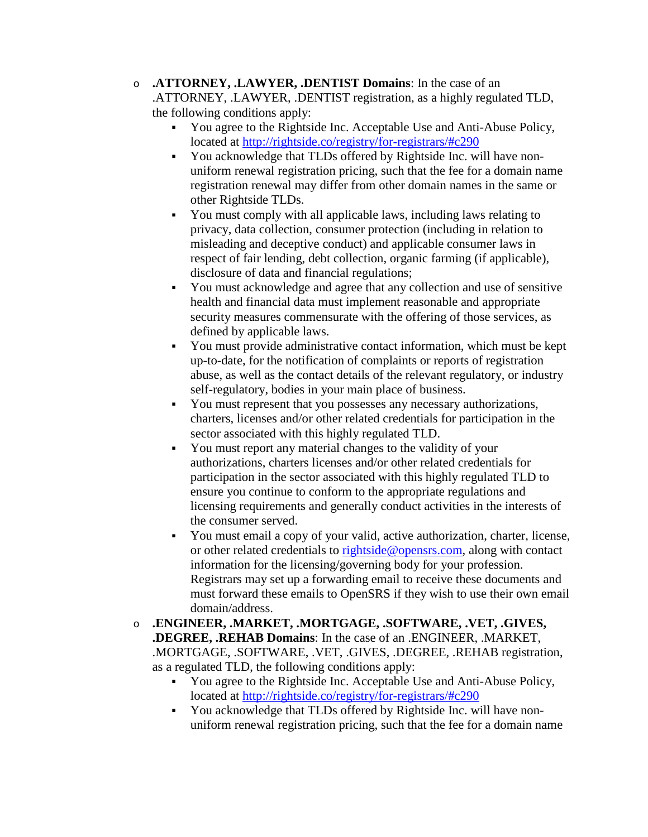- o **.ATTORNEY, .LAWYER, .DENTIST Domains**: In the case of an .ATTORNEY, .LAWYER, .DENTIST registration, as a highly regulated TLD, the following conditions apply:
	- You agree to the Rightside Inc. Acceptable Use and Anti-Abuse Policy, located at<http://rightside.co/registry/for-registrars/#c290>
	- You acknowledge that TLDs offered by Rightside Inc. will have nonuniform renewal registration pricing, such that the fee for a domain name registration renewal may differ from other domain names in the same or other Rightside TLDs.
	- You must comply with all applicable laws, including laws relating to privacy, data collection, consumer protection (including in relation to misleading and deceptive conduct) and applicable consumer laws in respect of fair lending, debt collection, organic farming (if applicable), disclosure of data and financial regulations;
	- You must acknowledge and agree that any collection and use of sensitive health and financial data must implement reasonable and appropriate security measures commensurate with the offering of those services, as defined by applicable laws.
	- You must provide administrative contact information, which must be kept up-to-date, for the notification of complaints or reports of registration abuse, as well as the contact details of the relevant regulatory, or industry self-regulatory, bodies in your main place of business.
	- You must represent that you possesses any necessary authorizations, charters, licenses and/or other related credentials for participation in the sector associated with this highly regulated TLD.
	- You must report any material changes to the validity of your authorizations, charters licenses and/or other related credentials for participation in the sector associated with this highly regulated TLD to ensure you continue to conform to the appropriate regulations and licensing requirements and generally conduct activities in the interests of the consumer served.
	- You must email a copy of your valid, active authorization, charter, license, or other related credentials to [rightside@opensrs.com,](mailto:rightside@opensrs.com) along with contact information for the licensing/governing body for your profession. Registrars may set up a forwarding email to receive these documents and must forward these emails to OpenSRS if they wish to use their own email domain/address.
- o **.ENGINEER, .MARKET, .MORTGAGE, .SOFTWARE, .VET, .GIVES, .DEGREE, .REHAB Domains**: In the case of an .ENGINEER, .MARKET, .MORTGAGE, .SOFTWARE, .VET, .GIVES, .DEGREE, .REHAB registration, as a regulated TLD, the following conditions apply:
	- You agree to the Rightside Inc. Acceptable Use and Anti-Abuse Policy, located at<http://rightside.co/registry/for-registrars/#c290>
	- You acknowledge that TLDs offered by Rightside Inc. will have nonuniform renewal registration pricing, such that the fee for a domain name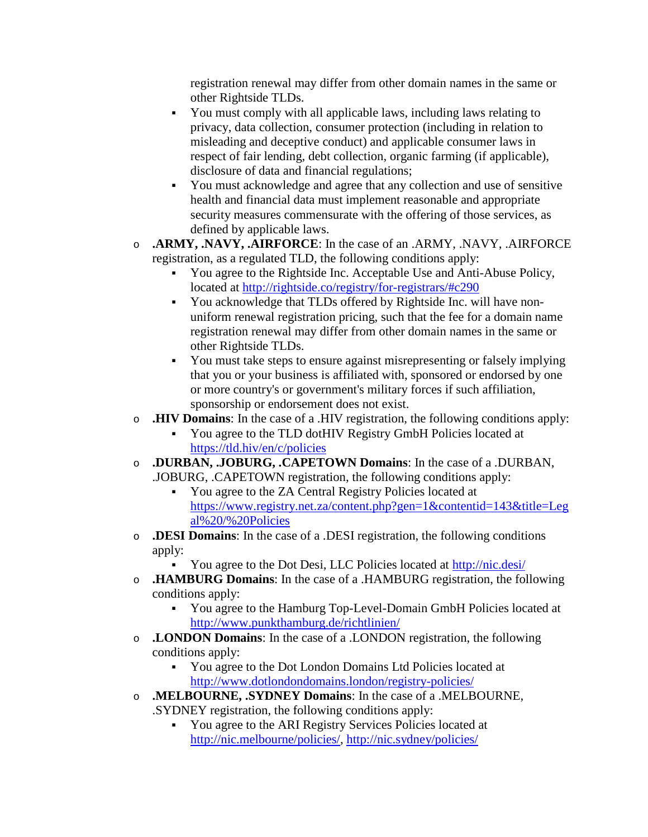registration renewal may differ from other domain names in the same or other Rightside TLDs.

- You must comply with all applicable laws, including laws relating to privacy, data collection, consumer protection (including in relation to misleading and deceptive conduct) and applicable consumer laws in respect of fair lending, debt collection, organic farming (if applicable), disclosure of data and financial regulations;
- You must acknowledge and agree that any collection and use of sensitive health and financial data must implement reasonable and appropriate security measures commensurate with the offering of those services, as defined by applicable laws.
- o **.ARMY, .NAVY, .AIRFORCE**: In the case of an .ARMY, .NAVY, .AIRFORCE registration, as a regulated TLD, the following conditions apply:
	- You agree to the Rightside Inc. Acceptable Use and Anti-Abuse Policy, located at<http://rightside.co/registry/for-registrars/#c290>
	- You acknowledge that TLDs offered by Rightside Inc. will have nonuniform renewal registration pricing, such that the fee for a domain name registration renewal may differ from other domain names in the same or other Rightside TLDs.
	- You must take steps to ensure against misrepresenting or falsely implying that you or your business is affiliated with, sponsored or endorsed by one or more country's or government's military forces if such affiliation, sponsorship or endorsement does not exist.
- o **.HIV Domains**: In the case of a .HIV registration, the following conditions apply:
	- You agree to the TLD dotHIV Registry GmbH Policies located at <https://tld.hiv/en/c/policies>
- o **.DURBAN, .JOBURG, .CAPETOWN Domains**: In the case of a .DURBAN, .JOBURG, .CAPETOWN registration, the following conditions apply:
	- You agree to the ZA Central Registry Policies located at [https://www.registry.net.za/content.php?gen=1&contentid=143&title=Leg](https://www.registry.net.za/content.php?gen=1&contentid=143&title=Legal%20/%20Policies) [al%20/%20Policies](https://www.registry.net.za/content.php?gen=1&contentid=143&title=Legal%20/%20Policies)
- o **.DESI Domains**: In the case of a .DESI registration, the following conditions apply:
	- You agree to the Dot Desi, LLC Policies located at<http://nic.desi/>
- o **.HAMBURG Domains**: In the case of a .HAMBURG registration, the following conditions apply:
	- You agree to the Hamburg Top-Level-Domain GmbH Policies located at <http://www.punkthamburg.de/richtlinien/>
- o **.LONDON Domains**: In the case of a .LONDON registration, the following conditions apply:
	- You agree to the Dot London Domains Ltd Policies located at <http://www.dotlondondomains.london/registry-policies/>
- o **.MELBOURNE, .SYDNEY Domains**: In the case of a .MELBOURNE, .SYDNEY registration, the following conditions apply:
	- You agree to the ARI Registry Services Policies located at [http://nic.melbourne/policies/,](http://nic.melbourne/policies/)<http://nic.sydney/policies/>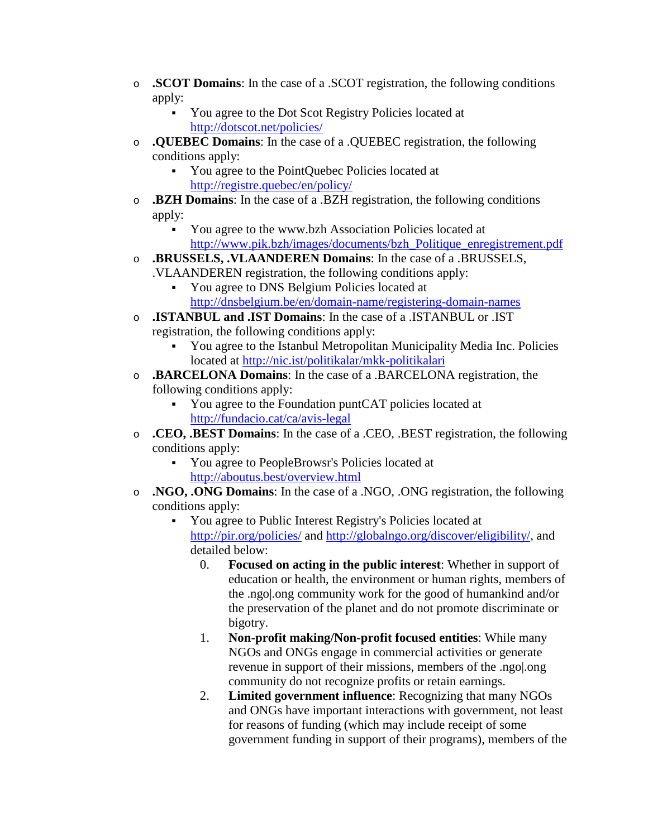- o **.SCOT Domains**: In the case of a .SCOT registration, the following conditions apply:
	- You agree to the Dot Scot Registry Policies located at <http://dotscot.net/policies/>
- o **.QUEBEC Domains**: In the case of a .QUEBEC registration, the following conditions apply:
	- You agree to the PointQuebec Policies located at <http://registre.quebec/en/policy/>
- o **.BZH Domains**: In the case of a .BZH registration, the following conditions apply:
	- You agree to the www.bzh Association Policies located at [http://www.pik.bzh/images/documents/bzh\\_Politique\\_enregistrement.pdf](http://www.pik.bzh/images/documents/bzh_Politique_enregistrement.pdf)
- o **.BRUSSELS, .VLAANDEREN Domains**: In the case of a .BRUSSELS, .VLAANDEREN registration, the following conditions apply:
	- You agree to DNS Belgium Policies located at <http://dnsbelgium.be/en/domain-name/registering-domain-names>
- o **.ISTANBUL and .IST Domains**: In the case of a .ISTANBUL or .IST registration, the following conditions apply:
	- You agree to the Istanbul Metropolitan Municipality Media Inc. Policies located at<http://nic.ist/politikalar/mkk-politikalari>
- o **.BARCELONA Domains**: In the case of a .BARCELONA registration, the following conditions apply:
	- You agree to the Foundation puntCAT policies located at <http://fundacio.cat/ca/avis-legal>
- o **.CEO, .BEST Domains**: In the case of a .CEO, .BEST registration, the following conditions apply:
	- You agree to PeopleBrowsr's Policies located at <http://aboutus.best/overview.html>
- o **.NGO, .ONG Domains**: In the case of a .NGO, .ONG registration, the following conditions apply:
	- You agree to Public Interest Registry's Policies located at <http://pir.org/policies/> and [http://globalngo.org/discover/eligibility/,](http://globalngo.org/discover/eligibility/) and detailed below:
		- 0. **Focused on acting in the public interest**: Whether in support of education or health, the environment or human rights, members of the .ngo|.ong community work for the good of humankind and/or the preservation of the planet and do not promote discriminate or bigotry.
		- 1. **Non-profit making/Non-profit focused entities**: While many NGOs and ONGs engage in commercial activities or generate revenue in support of their missions, members of the .ngo|.ong community do not recognize profits or retain earnings.
		- 2. **Limited government influence**: Recognizing that many NGOs and ONGs have important interactions with government, not least for reasons of funding (which may include receipt of some government funding in support of their programs), members of the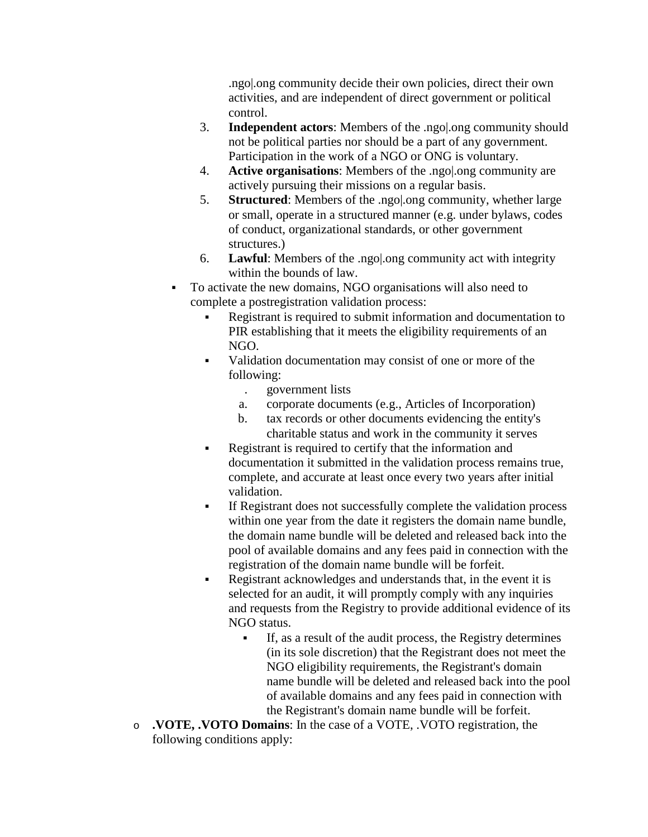.ngo|.ong community decide their own policies, direct their own activities, and are independent of direct government or political control.

- 3. **Independent actors**: Members of the .ngo|.ong community should not be political parties nor should be a part of any government. Participation in the work of a NGO or ONG is voluntary.
- 4. **Active organisations**: Members of the .ngo|.ong community are actively pursuing their missions on a regular basis.
- 5. **Structured**: Members of the .ngo|.ong community, whether large or small, operate in a structured manner (e.g. under bylaws, codes of conduct, organizational standards, or other government structures.)
- 6. **Lawful**: Members of the .ngo|.ong community act with integrity within the bounds of law.
- To activate the new domains, NGO organisations will also need to complete a postregistration validation process:
	- Registrant is required to submit information and documentation to PIR establishing that it meets the eligibility requirements of an NGO.
	- Validation documentation may consist of one or more of the following:
		- . government lists
		- a. corporate documents (e.g., Articles of Incorporation)
		- b. tax records or other documents evidencing the entity's charitable status and work in the community it serves
	- Registrant is required to certify that the information and documentation it submitted in the validation process remains true, complete, and accurate at least once every two years after initial validation.
	- If Registrant does not successfully complete the validation process within one year from the date it registers the domain name bundle, the domain name bundle will be deleted and released back into the pool of available domains and any fees paid in connection with the registration of the domain name bundle will be forfeit.
	- Registrant acknowledges and understands that, in the event it is selected for an audit, it will promptly comply with any inquiries and requests from the Registry to provide additional evidence of its NGO status.
		- If, as a result of the audit process, the Registry determines (in its sole discretion) that the Registrant does not meet the NGO eligibility requirements, the Registrant's domain name bundle will be deleted and released back into the pool of available domains and any fees paid in connection with the Registrant's domain name bundle will be forfeit.
- o **.VOTE, .VOTO Domains**: In the case of a VOTE, .VOTO registration, the following conditions apply: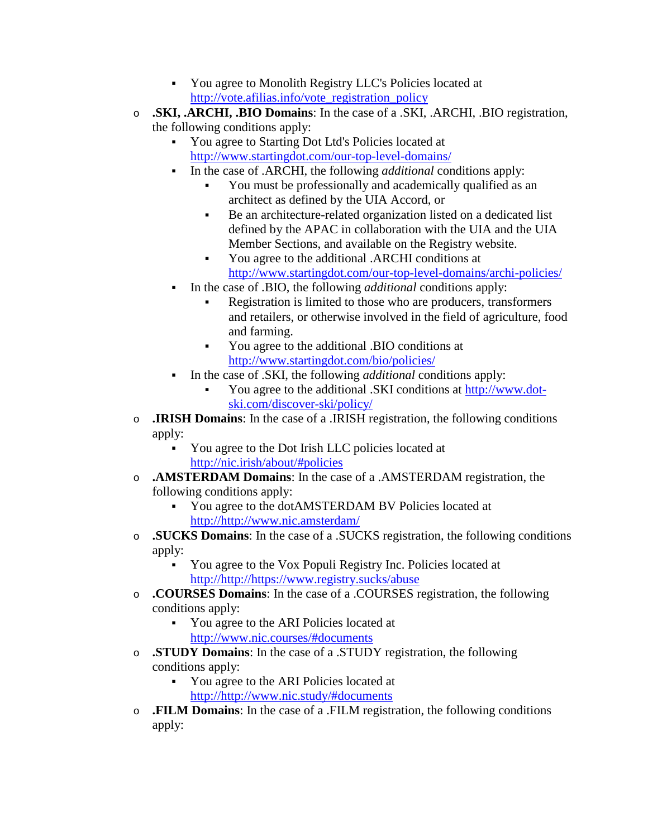- You agree to Monolith Registry LLC's Policies located at [http://vote.afilias.info/vote\\_registration\\_policy](http://vote.afilias.info/vote_registration_policy)
- o **.SKI, .ARCHI, .BIO Domains**: In the case of a .SKI, .ARCHI, .BIO registration, the following conditions apply:
	- You agree to Starting Dot Ltd's Policies located at <http://www.startingdot.com/our-top-level-domains/>
		- In the case of .ARCHI, the following *additional* conditions apply:
			- You must be professionally and academically qualified as an architect as defined by the UIA Accord, or
			- Be an architecture-related organization listed on a dedicated list defined by the APAC in collaboration with the UIA and the UIA Member Sections, and available on the Registry website.
			- You agree to the additional .ARCHI conditions at <http://www.startingdot.com/our-top-level-domains/archi-policies/>
	- In the case of .BIO, the following *additional* conditions apply:
		- Registration is limited to those who are producers, transformers and retailers, or otherwise involved in the field of agriculture, food and farming.
		- You agree to the additional .BIO conditions at <http://www.startingdot.com/bio/policies/>
	- In the case of .SKI, the following *additional* conditions apply:
		- You agree to the additional .SKI conditions at [http://www.dot](http://www.dot-ski.com/discover-ski/policy/)[ski.com/discover-ski/policy/](http://www.dot-ski.com/discover-ski/policy/)
- o **.IRISH Domains**: In the case of a .IRISH registration, the following conditions apply:
	- You agree to the Dot Irish LLC policies located at <http://nic.irish/about/#policies>
- o **.AMSTERDAM Domains**: In the case of a .AMSTERDAM registration, the following conditions apply:
	- You agree to the dotAMSTERDAM BV Policies located at [http://http://www.nic.amsterdam/](http://www.nic.amsterdam/)
- o **.SUCKS Domains**: In the case of a .SUCKS registration, the following conditions apply:
	- You agree to the Vox Populi Registry Inc. Policies located at [http://http://https://www.registry.sucks/abuse](https://www.registry.sucks/abuse)
- o **.COURSES Domains**: In the case of a .COURSES registration, the following conditions apply:
	- You agree to the ARI Policies located at <http://www.nic.courses/#documents>
- o **.STUDY Domains**: In the case of a .STUDY registration, the following conditions apply:
	- You agree to the ARI Policies located at [http://http://www.nic.study/#documents](http://www.nic.study/#documents)
- o **.FILM Domains**: In the case of a .FILM registration, the following conditions apply: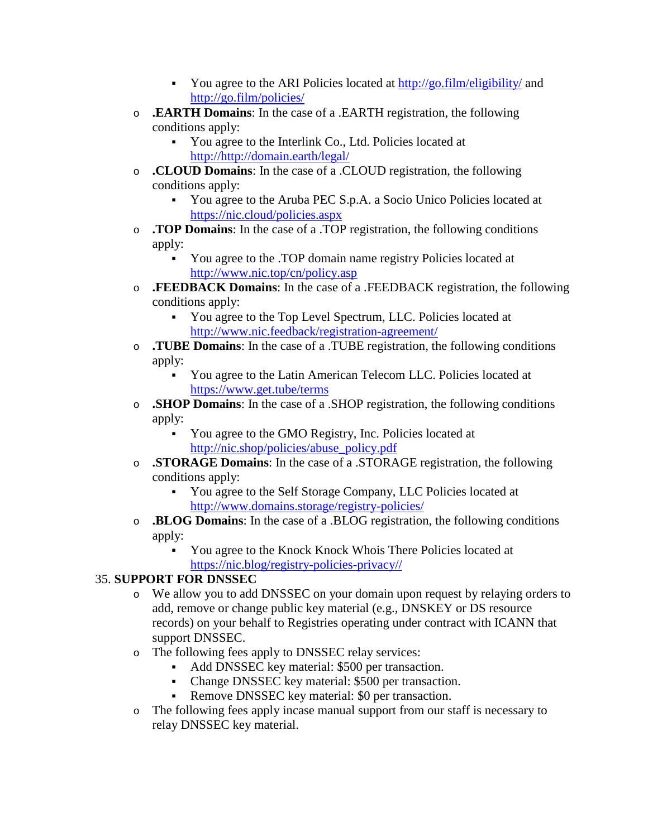- You agree to the ARI Policies located at<http://go.film/eligibility/> and <http://go.film/policies/>
- o **.EARTH Domains**: In the case of a .EARTH registration, the following conditions apply:
	- You agree to the Interlink Co., Ltd. Policies located at [http://http://domain.earth/legal/](http://domain.earth/legal/)
- o **.CLOUD Domains**: In the case of a .CLOUD registration, the following conditions apply:
	- You agree to the Aruba PEC S.p.A. a Socio Unico Policies located at <https://nic.cloud/policies.aspx>
- o **.TOP Domains**: In the case of a .TOP registration, the following conditions apply:
	- You agree to the .TOP domain name registry Policies located at <http://www.nic.top/cn/policy.asp>
- o **.FEEDBACK Domains**: In the case of a .FEEDBACK registration, the following conditions apply:
	- You agree to the Top Level Spectrum, LLC. Policies located at <http://www.nic.feedback/registration-agreement/>
- o **.TUBE Domains**: In the case of a .TUBE registration, the following conditions apply:
	- You agree to the Latin American Telecom LLC. Policies located at <https://www.get.tube/terms>
- o **.SHOP Domains**: In the case of a .SHOP registration, the following conditions apply:
	- You agree to the GMO Registry, Inc. Policies located at [http://nic.shop/policies/abuse\\_policy.pdf](http://nic.shop/policies/abuse_policy.pdf)
- o **.STORAGE Domains**: In the case of a .STORAGE registration, the following conditions apply:
	- You agree to the Self Storage Company, LLC Policies located at <http://www.domains.storage/registry-policies/>
- o **.BLOG Domains**: In the case of a .BLOG registration, the following conditions apply:
	- You agree to the Knock Knock Whois There Policies located at [https://nic.blog/registry-policies-privacy//](https://nic.blog/registry-policies-privacy/)

### 35. **SUPPORT FOR DNSSEC**

- o We allow you to add DNSSEC on your domain upon request by relaying orders to add, remove or change public key material (e.g., DNSKEY or DS resource records) on your behalf to Registries operating under contract with ICANN that support DNSSEC.
- o The following fees apply to DNSSEC relay services:
	- Add DNSSEC key material: \$500 per transaction.
	- Change DNSSEC key material: \$500 per transaction.
	- Remove DNSSEC key material: \$0 per transaction.
- o The following fees apply incase manual support from our staff is necessary to relay DNSSEC key material.